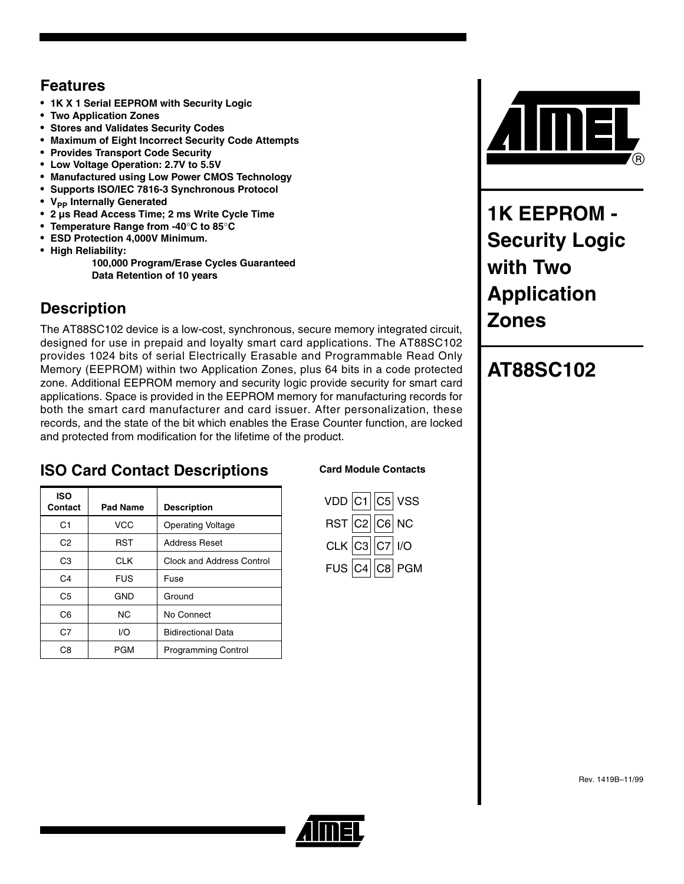### **Features**

- **1K X 1 Serial EEPROM with Security Logic**
- **Two Application Zones**
- **Stores and Validates Security Codes**
- **Maximum of Eight Incorrect Security Code Attempts**
- **Provides Transport Code Security**
- **Low Voltage Operation: 2.7V to 5.5V**
- **Manufactured using Low Power CMOS Technology**
- **Supports ISO/IEC 7816-3 Synchronous Protocol**
- **V<sub>PP</sub>** Internally Generated
- **2 µs Read Access Time; 2 ms Write Cycle Time**
- **Temperature Range from -40**°**C to 85**°**C**
- **ESD Protection 4,000V Minimum.**
- **High Reliability:**

 **100,000 Program/Erase Cycles Guaranteed Data Retention of 10 years**

### **Description**

**ISO** 

The AT88SC102 device is a low-cost, synchronous, secure memory integrated circuit, designed for use in prepaid and loyalty smart card applications. The AT88SC102 provides 1024 bits of serial Electrically Erasable and Programmable Read Only Memory (EEPROM) within two Application Zones, plus 64 bits in a code protected zone. Additional EEPROM memory and security logic provide security for smart card applications. Space is provided in the EEPROM memory for manufacturing records for both the smart card manufacturer and card issuer. After personalization, these records, and the state of the bit which enables the Erase Counter function, are locked and protected from modification for the lifetime of the product.

## **ISO Card Contact Descriptions**

C1 | VCC | Operating Voltage C2 | RST | Address Reset

C<sub>3</sub> CLK Clock and Address Control

**Contact Pad Name Description**

C4 FUS Fuse C<sub>5</sub> GND Ground C6 NC No Connect C7 | I/O | Bidirectional Data C8 | PGM | Programming Control

#### **Card Module Contacts**





**1K EEPROM - Security Logic with Two Application Zones**

## **AT88SC102**

Rev. 1419B–11/99

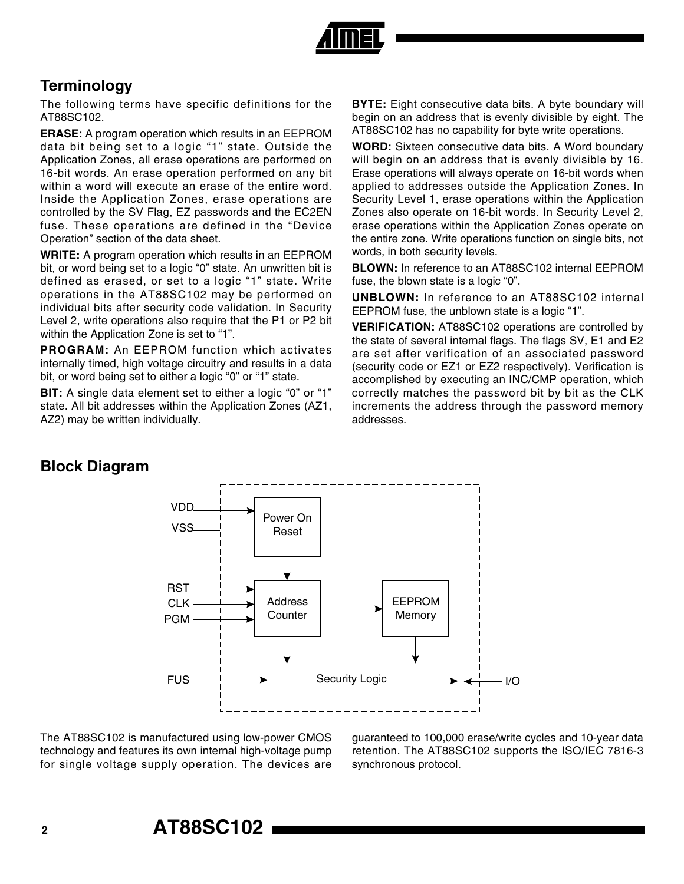

### **Terminology**

The following terms have specific definitions for the AT88SC102.

**ERASE:** A program operation which results in an EEPROM data bit being set to a logic "1" state. Outside the Application Zones, all erase operations are performed on 16-bit words. An erase operation performed on any bit within a word will execute an erase of the entire word. Inside the Application Zones, erase operations are controlled by the SV Flag, EZ passwords and the EC2EN fuse. These operations are defined in the "Device Operation" section of the data sheet.

**WRITE:** A program operation which results in an EEPROM bit, or word being set to a logic "0" state. An unwritten bit is defined as erased, or set to a logic "1" state. Write operations in the AT88SC102 may be performed on individual bits after security code validation. In Security Level 2, write operations also require that the P1 or P2 bit within the Application Zone is set to "1".

**PROGRAM:** An EEPROM function which activates internally timed, high voltage circuitry and results in a data bit, or word being set to either a logic "0" or "1" state.

**BIT:** A single data element set to either a logic "0" or "1" state. All bit addresses within the Application Zones (AZ1, AZ2) may be written individually.

**BYTE:** Eight consecutive data bits. A byte boundary will begin on an address that is evenly divisible by eight. The AT88SC102 has no capability for byte write operations.

**WORD:** Sixteen consecutive data bits. A Word boundary will begin on an address that is evenly divisible by 16. Erase operations will always operate on 16-bit words when applied to addresses outside the Application Zones. In Security Level 1, erase operations within the Application Zones also operate on 16-bit words. In Security Level 2, erase operations within the Application Zones operate on the entire zone. Write operations function on single bits, not words, in both security levels.

**BLOWN:** In reference to an AT88SC102 internal EEPROM fuse, the blown state is a logic "0".

**UNBLOWN:** In reference to an AT88SC102 internal EEPROM fuse, the unblown state is a logic "1".

**VERIFICATION:** AT88SC102 operations are controlled by the state of several internal flags. The flags SV, E1 and E2 are set after verification of an associated password (security code or EZ1 or EZ2 respectively). Verification is accomplished by executing an INC/CMP operation, which correctly matches the password bit by bit as the CLK increments the address through the password memory addresses.

#### **Block Diagram**



The AT88SC102 is manufactured using low-power CMOS technology and features its own internal high-voltage pump for single voltage supply operation. The devices are guaranteed to 100,000 erase/write cycles and 10-year data retention. The AT88SC102 supports the ISO/IEC 7816-3 synchronous protocol.

## **<sup>2</sup> AT88SC102**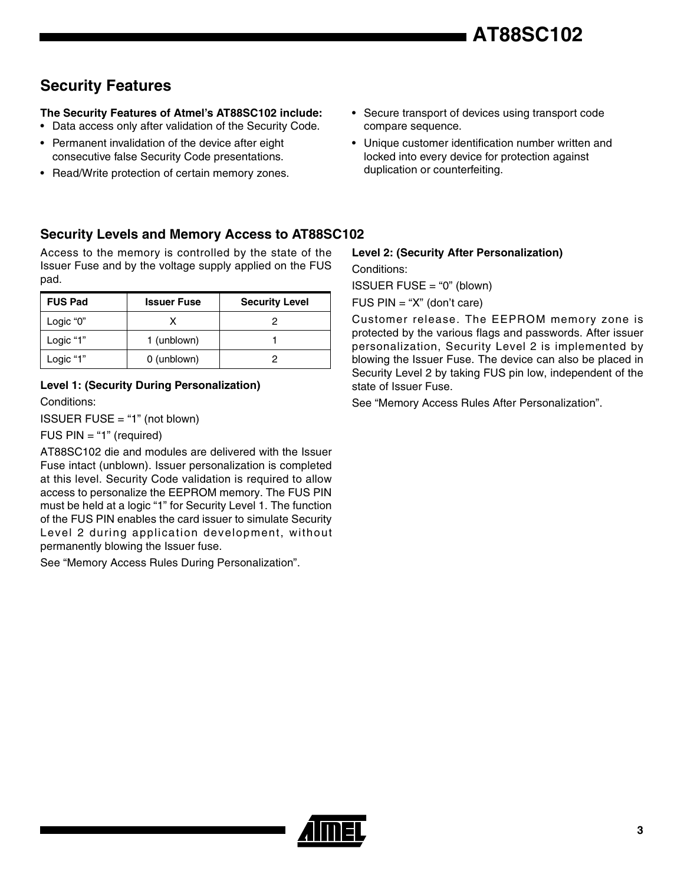### **Security Features**

#### **The Security Features of Atmel's AT88SC102 include:**

- Data access only after validation of the Security Code.
- Permanent invalidation of the device after eight consecutive false Security Code presentations.
- Read/Write protection of certain memory zones.
- Secure transport of devices using transport code compare sequence.
- Unique customer identification number written and locked into every device for protection against duplication or counterfeiting.

#### **Security Levels and Memory Access to AT88SC102**

Access to the memory is controlled by the state of the Issuer Fuse and by the voltage supply applied on the FUS pad.

| <b>FUS Pad</b> | <b>Issuer Fuse</b> | <b>Security Level</b> |
|----------------|--------------------|-----------------------|
| Logic "0"      |                    |                       |
| Logic "1"      | 1 (unblown)        |                       |
| Logic "1"      | 0 (unblown)        |                       |

#### **Level 1: (Security During Personalization)**

Conditions:

ISSUER FUSE = "1" (not blown)

FUS PIN = "1" (required)

AT88SC102 die and modules are delivered with the Issuer Fuse intact (unblown). Issuer personalization is completed at this level. Security Code validation is required to allow access to personalize the EEPROM memory. The FUS PIN must be held at a logic "1" for Security Level 1. The function of the FUS PIN enables the card issuer to simulate Security Level 2 during application development, without permanently blowing the Issuer fuse.

See "Memory Access Rules During Personalization".

#### **Level 2: (Security After Personalization)**

Conditions:

ISSUER FUSE = "0" (blown)

FUS PIN = "X" (don't care)

Customer release. The EEPROM memory zone is protected by the various flags and passwords. After issuer personalization, Security Level 2 is implemented by blowing the Issuer Fuse. The device can also be placed in Security Level 2 by taking FUS pin low, independent of the state of Issuer Fuse.

See "Memory Access Rules After Personalization".

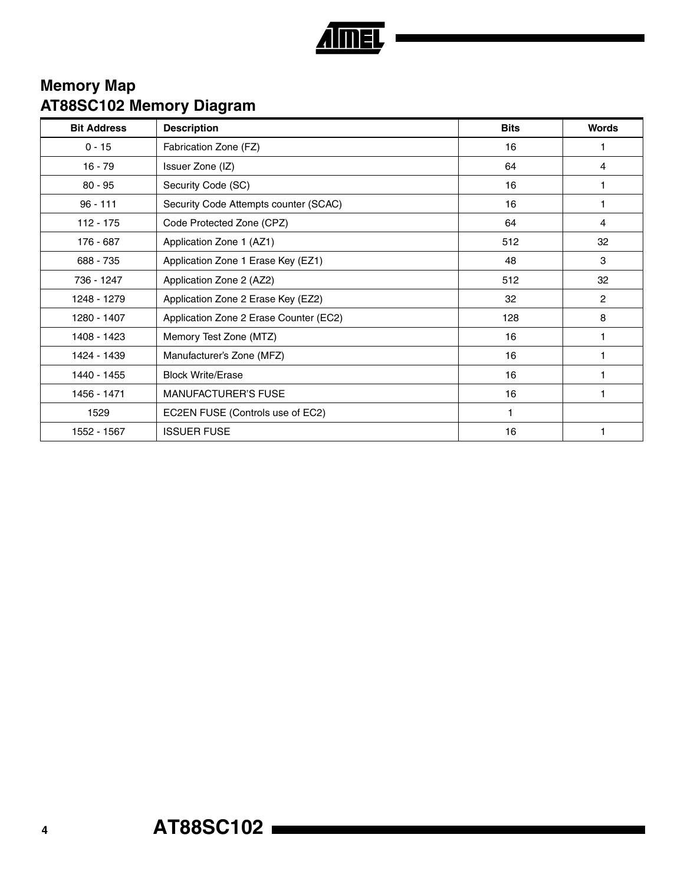

### **Memory Map AT88SC102 Memory Diagram**

| <b>Bit Address</b> | <b>Description</b>                     | <b>Bits</b> | <b>Words</b>   |
|--------------------|----------------------------------------|-------------|----------------|
| $0 - 15$           | Fabrication Zone (FZ)                  | 16          | 1              |
| $16 - 79$          | Issuer Zone (IZ)                       | 64          | $\overline{4}$ |
| $80 - 95$          | Security Code (SC)                     | 16          |                |
| $96 - 111$         | Security Code Attempts counter (SCAC)  | 16          |                |
| $112 - 175$        | Code Protected Zone (CPZ)              | 64          | $\overline{4}$ |
| 176 - 687          | Application Zone 1 (AZ1)               | 512         | 32             |
| 688 - 735          | Application Zone 1 Erase Key (EZ1)     | 48          | 3              |
| 736 - 1247         | Application Zone 2 (AZ2)               | 512         | 32             |
| 1248 - 1279        | Application Zone 2 Erase Key (EZ2)     | 32          | $\overline{2}$ |
| 1280 - 1407        | Application Zone 2 Erase Counter (EC2) | 128         | 8              |
| 1408 - 1423        | Memory Test Zone (MTZ)                 | 16          |                |
| 1424 - 1439        | Manufacturer's Zone (MFZ)              | 16          |                |
| 1440 - 1455        | <b>Block Write/Erase</b>               | 16          |                |
| 1456 - 1471        | <b>MANUFACTURER'S FUSE</b>             | 16          | 1              |
| 1529               | EC2EN FUSE (Controls use of EC2)       | 1           |                |
| 1552 - 1567        | <b>ISSUER FUSE</b>                     | 16          |                |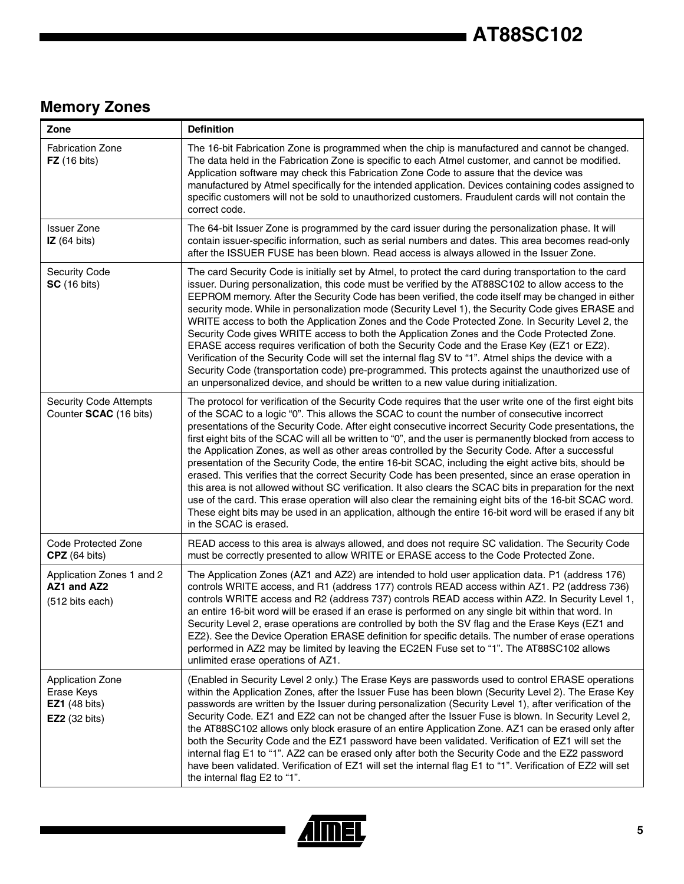## **Memory Zones**

| Zone                                                                           | <b>Definition</b>                                                                                                                                                                                                                                                                                                                                                                                                                                                                                                                                                                                                                                                                                                                                                                                                                                                                                                                                                                                                                                                                                                           |
|--------------------------------------------------------------------------------|-----------------------------------------------------------------------------------------------------------------------------------------------------------------------------------------------------------------------------------------------------------------------------------------------------------------------------------------------------------------------------------------------------------------------------------------------------------------------------------------------------------------------------------------------------------------------------------------------------------------------------------------------------------------------------------------------------------------------------------------------------------------------------------------------------------------------------------------------------------------------------------------------------------------------------------------------------------------------------------------------------------------------------------------------------------------------------------------------------------------------------|
| <b>Fabrication Zone</b><br>$FZ$ (16 bits)                                      | The 16-bit Fabrication Zone is programmed when the chip is manufactured and cannot be changed.<br>The data held in the Fabrication Zone is specific to each Atmel customer, and cannot be modified.<br>Application software may check this Fabrication Zone Code to assure that the device was<br>manufactured by Atmel specifically for the intended application. Devices containing codes assigned to<br>specific customers will not be sold to unauthorized customers. Fraudulent cards will not contain the<br>correct code.                                                                                                                                                                                                                                                                                                                                                                                                                                                                                                                                                                                            |
| <b>Issuer Zone</b><br>IZ(64 bits)                                              | The 64-bit Issuer Zone is programmed by the card issuer during the personalization phase. It will<br>contain issuer-specific information, such as serial numbers and dates. This area becomes read-only<br>after the ISSUER FUSE has been blown. Read access is always allowed in the Issuer Zone.                                                                                                                                                                                                                                                                                                                                                                                                                                                                                                                                                                                                                                                                                                                                                                                                                          |
| <b>Security Code</b><br><b>SC</b> (16 bits)                                    | The card Security Code is initially set by Atmel, to protect the card during transportation to the card<br>issuer. During personalization, this code must be verified by the AT88SC102 to allow access to the<br>EEPROM memory. After the Security Code has been verified, the code itself may be changed in either<br>security mode. While in personalization mode (Security Level 1), the Security Code gives ERASE and<br>WRITE access to both the Application Zones and the Code Protected Zone. In Security Level 2, the<br>Security Code gives WRITE access to both the Application Zones and the Code Protected Zone.<br>ERASE access requires verification of both the Security Code and the Erase Key (EZ1 or EZ2).<br>Verification of the Security Code will set the internal flag SV to "1". Atmel ships the device with a<br>Security Code (transportation code) pre-programmed. This protects against the unauthorized use of<br>an unpersonalized device, and should be written to a new value during initialization.                                                                                         |
| <b>Security Code Attempts</b><br>Counter SCAC (16 bits)                        | The protocol for verification of the Security Code requires that the user write one of the first eight bits<br>of the SCAC to a logic "0". This allows the SCAC to count the number of consecutive incorrect<br>presentations of the Security Code. After eight consecutive incorrect Security Code presentations, the<br>first eight bits of the SCAC will all be written to "0", and the user is permanently blocked from access to<br>the Application Zones, as well as other areas controlled by the Security Code. After a successful<br>presentation of the Security Code, the entire 16-bit SCAC, including the eight active bits, should be<br>erased. This verifies that the correct Security Code has been presented, since an erase operation in<br>this area is not allowed without SC verification. It also clears the SCAC bits in preparation for the next<br>use of the card. This erase operation will also clear the remaining eight bits of the 16-bit SCAC word.<br>These eight bits may be used in an application, although the entire 16-bit word will be erased if any bit<br>in the SCAC is erased. |
| Code Protected Zone<br>CPZ (64 bits)                                           | READ access to this area is always allowed, and does not require SC validation. The Security Code<br>must be correctly presented to allow WRITE or ERASE access to the Code Protected Zone.                                                                                                                                                                                                                                                                                                                                                                                                                                                                                                                                                                                                                                                                                                                                                                                                                                                                                                                                 |
| Application Zones 1 and 2<br>AZ1 and AZ2<br>(512 bits each)                    | The Application Zones (AZ1 and AZ2) are intended to hold user application data. P1 (address 176)<br>controls WRITE access, and R1 (address 177) controls READ access within AZ1. P2 (address 736)<br>controls WRITE access and R2 (address 737) controls READ access within AZ2. In Security Level 1,<br>an entire 16-bit word will be erased if an erase is performed on any single bit within that word. In<br>Security Level 2, erase operations are controlled by both the SV flag and the Erase Keys (EZ1 and<br>EZ2). See the Device Operation ERASE definition for specific details. The number of erase operations<br>performed in AZ2 may be limited by leaving the EC2EN Fuse set to "1". The AT88SC102 allows<br>unlimited erase operations of AZ1.                                                                                                                                                                                                                                                                                                                                                              |
| Application Zone<br>Erase Keys<br><b>EZ1</b> (48 bits)<br><b>EZ2</b> (32 bits) | (Enabled in Security Level 2 only.) The Erase Keys are passwords used to control ERASE operations<br>within the Application Zones, after the Issuer Fuse has been blown (Security Level 2). The Erase Key<br>passwords are written by the Issuer during personalization (Security Level 1), after verification of the<br>Security Code. EZ1 and EZ2 can not be changed after the Issuer Fuse is blown. In Security Level 2,<br>the AT88SC102 allows only block erasure of an entire Application Zone. AZ1 can be erased only after<br>both the Security Code and the EZ1 password have been validated. Verification of EZ1 will set the<br>internal flag E1 to "1". AZ2 can be erased only after both the Security Code and the EZ2 password<br>have been validated. Verification of EZ1 will set the internal flag E1 to "1". Verification of EZ2 will set<br>the internal flag E2 to "1".                                                                                                                                                                                                                                 |

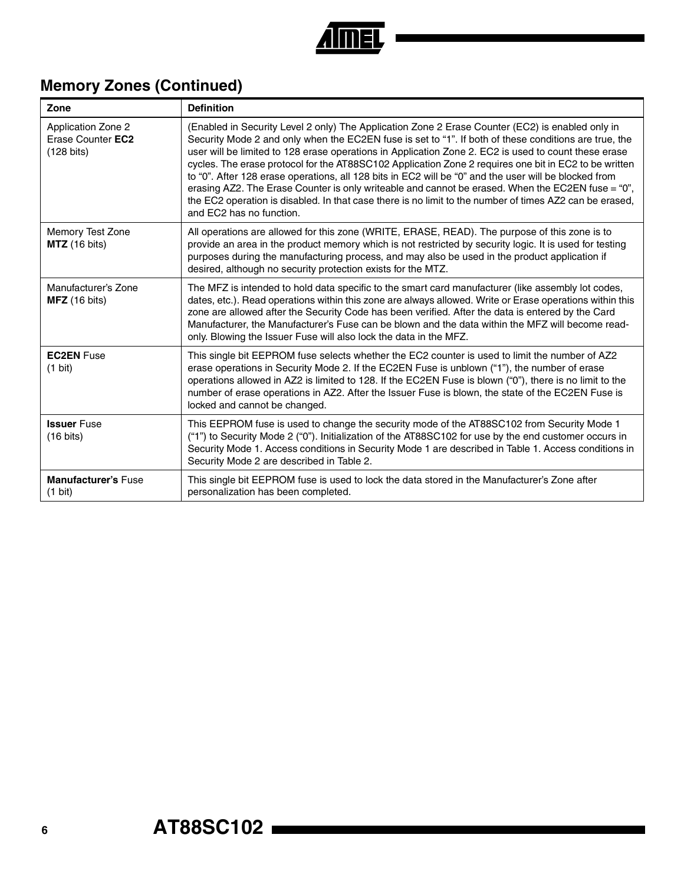

## **Memory Zones (Continued)**

| Zone                                                            | <b>Definition</b>                                                                                                                                                                                                                                                                                                                                                                                                                                                                                                                                                                                                                                                                                                                                                               |
|-----------------------------------------------------------------|---------------------------------------------------------------------------------------------------------------------------------------------------------------------------------------------------------------------------------------------------------------------------------------------------------------------------------------------------------------------------------------------------------------------------------------------------------------------------------------------------------------------------------------------------------------------------------------------------------------------------------------------------------------------------------------------------------------------------------------------------------------------------------|
| Application Zone 2<br>Erase Counter EC2<br>$(128 \text{ bits})$ | (Enabled in Security Level 2 only) The Application Zone 2 Erase Counter (EC2) is enabled only in<br>Security Mode 2 and only when the EC2EN fuse is set to "1". If both of these conditions are true, the<br>user will be limited to 128 erase operations in Application Zone 2. EC2 is used to count these erase<br>cycles. The erase protocol for the AT88SC102 Application Zone 2 requires one bit in EC2 to be written<br>to "0". After 128 erase operations, all 128 bits in EC2 will be "0" and the user will be blocked from<br>erasing AZ2. The Erase Counter is only writeable and cannot be erased. When the EC2EN fuse = "0",<br>the EC2 operation is disabled. In that case there is no limit to the number of times AZ2 can be erased,<br>and EC2 has no function. |
| Memory Test Zone<br>MTZ (16 bits)                               | All operations are allowed for this zone (WRITE, ERASE, READ). The purpose of this zone is to<br>provide an area in the product memory which is not restricted by security logic. It is used for testing<br>purposes during the manufacturing process, and may also be used in the product application if<br>desired, although no security protection exists for the MTZ.                                                                                                                                                                                                                                                                                                                                                                                                       |
| Manufacturer's Zone<br>$MFZ$ (16 bits)                          | The MFZ is intended to hold data specific to the smart card manufacturer (like assembly lot codes,<br>dates, etc.). Read operations within this zone are always allowed. Write or Erase operations within this<br>zone are allowed after the Security Code has been verified. After the data is entered by the Card<br>Manufacturer, the Manufacturer's Fuse can be blown and the data within the MFZ will become read-<br>only. Blowing the Issuer Fuse will also lock the data in the MFZ.                                                                                                                                                                                                                                                                                    |
| <b>EC2EN Fuse</b><br>$(1 \text{ bit})$                          | This single bit EEPROM fuse selects whether the EC2 counter is used to limit the number of AZ2<br>erase operations in Security Mode 2. If the EC2EN Fuse is unblown ("1"), the number of erase<br>operations allowed in AZ2 is limited to 128. If the EC2EN Fuse is blown ("0"), there is no limit to the<br>number of erase operations in AZ2. After the Issuer Fuse is blown, the state of the EC2EN Fuse is<br>locked and cannot be changed.                                                                                                                                                                                                                                                                                                                                 |
| <b>Issuer Fuse</b><br>$(16 \text{ bits})$                       | This EEPROM fuse is used to change the security mode of the AT88SC102 from Security Mode 1<br>("1") to Security Mode 2 ("0"). Initialization of the AT88SC102 for use by the end customer occurs in<br>Security Mode 1. Access conditions in Security Mode 1 are described in Table 1. Access conditions in<br>Security Mode 2 are described in Table 2.                                                                                                                                                                                                                                                                                                                                                                                                                        |
| <b>Manufacturer's Fuse</b><br>$(1 \text{ bit})$                 | This single bit EEPROM fuse is used to lock the data stored in the Manufacturer's Zone after<br>personalization has been completed.                                                                                                                                                                                                                                                                                                                                                                                                                                                                                                                                                                                                                                             |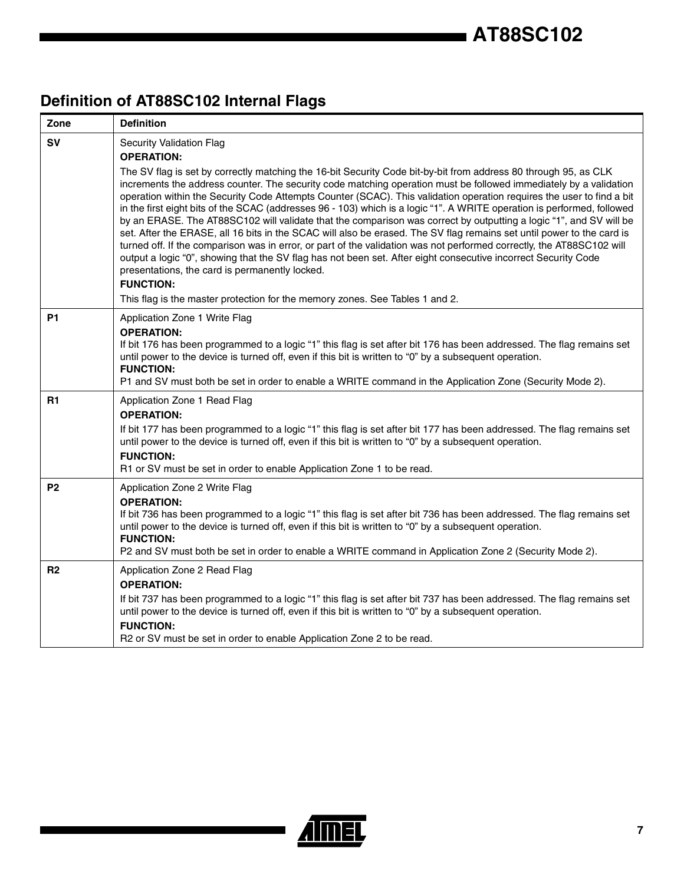# **Definition of AT88SC102 Internal Flags**

| Zone           | <b>Definition</b>                                                                                                                                                                                                                                                                                                                                                                                                                                                                                                                                                                                                                                                                                                                                                                                                                                                                                                                                                                                                                                                                                                                                                                                |
|----------------|--------------------------------------------------------------------------------------------------------------------------------------------------------------------------------------------------------------------------------------------------------------------------------------------------------------------------------------------------------------------------------------------------------------------------------------------------------------------------------------------------------------------------------------------------------------------------------------------------------------------------------------------------------------------------------------------------------------------------------------------------------------------------------------------------------------------------------------------------------------------------------------------------------------------------------------------------------------------------------------------------------------------------------------------------------------------------------------------------------------------------------------------------------------------------------------------------|
| <b>SV</b>      | <b>Security Validation Flag</b><br><b>OPERATION:</b><br>The SV flag is set by correctly matching the 16-bit Security Code bit-by-bit from address 80 through 95, as CLK<br>increments the address counter. The security code matching operation must be followed immediately by a validation<br>operation within the Security Code Attempts Counter (SCAC). This validation operation requires the user to find a bit<br>in the first eight bits of the SCAC (addresses 96 - 103) which is a logic "1". A WRITE operation is performed, followed<br>by an ERASE. The AT88SC102 will validate that the comparison was correct by outputting a logic "1", and SV will be<br>set. After the ERASE, all 16 bits in the SCAC will also be erased. The SV flag remains set until power to the card is<br>turned off. If the comparison was in error, or part of the validation was not performed correctly, the AT88SC102 will<br>output a logic "0", showing that the SV flag has not been set. After eight consecutive incorrect Security Code<br>presentations, the card is permanently locked.<br><b>FUNCTION:</b><br>This flag is the master protection for the memory zones. See Tables 1 and 2. |
| <b>P1</b>      | Application Zone 1 Write Flag<br><b>OPERATION:</b><br>If bit 176 has been programmed to a logic "1" this flag is set after bit 176 has been addressed. The flag remains set<br>until power to the device is turned off, even if this bit is written to "0" by a subsequent operation.<br><b>FUNCTION:</b><br>P1 and SV must both be set in order to enable a WRITE command in the Application Zone (Security Mode 2).                                                                                                                                                                                                                                                                                                                                                                                                                                                                                                                                                                                                                                                                                                                                                                            |
| R1             | Application Zone 1 Read Flag<br><b>OPERATION:</b><br>If bit 177 has been programmed to a logic "1" this flag is set after bit 177 has been addressed. The flag remains set<br>until power to the device is turned off, even if this bit is written to "0" by a subsequent operation.<br><b>FUNCTION:</b><br>R1 or SV must be set in order to enable Application Zone 1 to be read.                                                                                                                                                                                                                                                                                                                                                                                                                                                                                                                                                                                                                                                                                                                                                                                                               |
| P <sub>2</sub> | Application Zone 2 Write Flag<br><b>OPERATION:</b><br>If bit 736 has been programmed to a logic "1" this flag is set after bit 736 has been addressed. The flag remains set<br>until power to the device is turned off, even if this bit is written to "0" by a subsequent operation.<br><b>FUNCTION:</b><br>P2 and SV must both be set in order to enable a WRITE command in Application Zone 2 (Security Mode 2).                                                                                                                                                                                                                                                                                                                                                                                                                                                                                                                                                                                                                                                                                                                                                                              |
| R <sub>2</sub> | Application Zone 2 Read Flag<br><b>OPERATION:</b><br>If bit 737 has been programmed to a logic "1" this flag is set after bit 737 has been addressed. The flag remains set<br>until power to the device is turned off, even if this bit is written to "0" by a subsequent operation.<br><b>FUNCTION:</b><br>R2 or SV must be set in order to enable Application Zone 2 to be read.                                                                                                                                                                                                                                                                                                                                                                                                                                                                                                                                                                                                                                                                                                                                                                                                               |

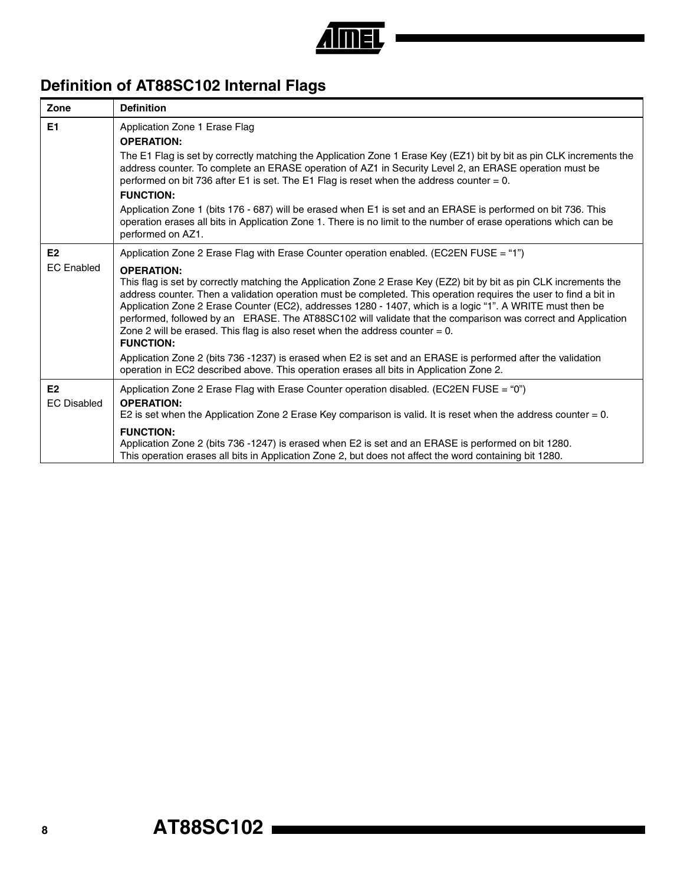

## **Definition of AT88SC102 Internal Flags**

| Zone                                 | <b>Definition</b>                                                                                                                                                                                                                                                                                                                                                                                                                                                                                                                                                                                                                                                                                               |
|--------------------------------------|-----------------------------------------------------------------------------------------------------------------------------------------------------------------------------------------------------------------------------------------------------------------------------------------------------------------------------------------------------------------------------------------------------------------------------------------------------------------------------------------------------------------------------------------------------------------------------------------------------------------------------------------------------------------------------------------------------------------|
| E1                                   | Application Zone 1 Erase Flag<br><b>OPERATION:</b>                                                                                                                                                                                                                                                                                                                                                                                                                                                                                                                                                                                                                                                              |
|                                      | The E1 Flag is set by correctly matching the Application Zone 1 Erase Key (EZ1) bit by bit as pin CLK increments the<br>address counter. To complete an ERASE operation of AZ1 in Security Level 2, an ERASE operation must be<br>performed on bit 736 after E1 is set. The E1 Flag is reset when the address counter = $0$ .<br><b>FUNCTION:</b>                                                                                                                                                                                                                                                                                                                                                               |
|                                      | Application Zone 1 (bits 176 - 687) will be erased when E1 is set and an ERASE is performed on bit 736. This<br>operation erases all bits in Application Zone 1. There is no limit to the number of erase operations which can be<br>performed on AZ1.                                                                                                                                                                                                                                                                                                                                                                                                                                                          |
| E2                                   | Application Zone 2 Erase Flag with Erase Counter operation enabled. (EC2EN FUSE = "1")                                                                                                                                                                                                                                                                                                                                                                                                                                                                                                                                                                                                                          |
| <b>EC</b> Enabled                    | <b>OPERATION:</b><br>This flag is set by correctly matching the Application Zone 2 Erase Key (EZ2) bit by bit as pin CLK increments the<br>address counter. Then a validation operation must be completed. This operation requires the user to find a bit in<br>Application Zone 2 Erase Counter (EC2), addresses 1280 - 1407, which is a logic "1". A WRITE must then be<br>performed, followed by an ERASE. The AT88SC102 will validate that the comparison was correct and Application<br>Zone 2 will be erased. This flag is also reset when the address counter $= 0$ .<br><b>FUNCTION:</b><br>Application Zone 2 (bits 736 -1237) is erased when E2 is set and an ERASE is performed after the validation |
|                                      | operation in EC2 described above. This operation erases all bits in Application Zone 2.                                                                                                                                                                                                                                                                                                                                                                                                                                                                                                                                                                                                                         |
| E <sub>2</sub><br><b>EC Disabled</b> | Application Zone 2 Erase Flag with Erase Counter operation disabled. (EC2EN FUSE = "0")<br><b>OPERATION:</b><br>E2 is set when the Application Zone 2 Erase Key comparison is valid. It is reset when the address counter = 0.                                                                                                                                                                                                                                                                                                                                                                                                                                                                                  |
|                                      | <b>FUNCTION:</b><br>Application Zone 2 (bits 736 -1247) is erased when E2 is set and an ERASE is performed on bit 1280.<br>This operation erases all bits in Application Zone 2, but does not affect the word containing bit 1280.                                                                                                                                                                                                                                                                                                                                                                                                                                                                              |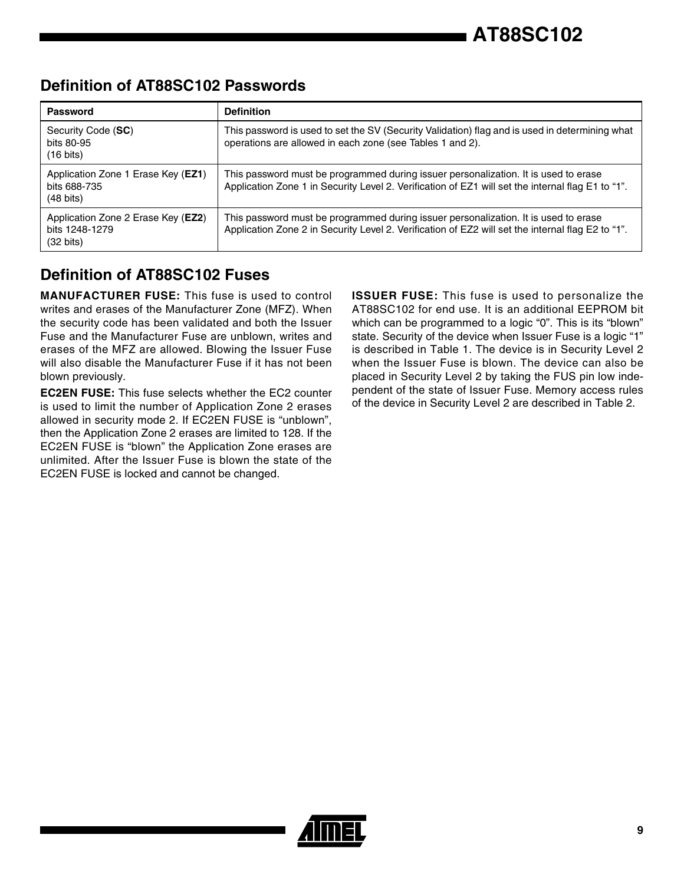### **Definition of AT88SC102 Passwords**

| Password                                                                           | <b>Definition</b>                                                                                                                                                                        |
|------------------------------------------------------------------------------------|------------------------------------------------------------------------------------------------------------------------------------------------------------------------------------------|
| Security Code (SC)<br>bits 80-95<br>$(16 \text{ bits})$                            | This password is used to set the SV (Security Validation) flag and is used in determining what<br>operations are allowed in each zone (see Tables 1 and 2).                              |
| Application Zone 1 Erase Key ( <b>EZ1</b> )<br>bits 688-735<br>$(48 \text{ bits})$ | This password must be programmed during issuer personalization. It is used to erase<br>Application Zone 1 in Security Level 2. Verification of EZ1 will set the internal flag E1 to "1". |
| Application Zone 2 Erase Key (EZ2)<br>bits 1248-1279<br>$(32 \text{ bits})$        | This password must be programmed during issuer personalization. It is used to erase<br>Application Zone 2 in Security Level 2. Verification of EZ2 will set the internal flag E2 to "1". |

### **Definition of AT88SC102 Fuses**

**MANUFACTURER FUSE:** This fuse is used to control writes and erases of the Manufacturer Zone (MFZ). When the security code has been validated and both the Issuer Fuse and the Manufacturer Fuse are unblown, writes and erases of the MFZ are allowed. Blowing the Issuer Fuse will also disable the Manufacturer Fuse if it has not been blown previously.

**EC2EN FUSE:** This fuse selects whether the EC2 counter is used to limit the number of Application Zone 2 erases allowed in security mode 2. If EC2EN FUSE is "unblown", then the Application Zone 2 erases are limited to 128. If the EC2EN FUSE is "blown" the Application Zone erases are unlimited. After the Issuer Fuse is blown the state of the EC2EN FUSE is locked and cannot be changed.

**ISSUER FUSE:** This fuse is used to personalize the AT88SC102 for end use. It is an additional EEPROM bit which can be programmed to a logic "0". This is its "blown" state. Security of the device when Issuer Fuse is a logic "1" is described in Table 1. The device is in Security Level 2 when the Issuer Fuse is blown. The device can also be placed in Security Level 2 by taking the FUS pin low independent of the state of Issuer Fuse. Memory access rules of the device in Security Level 2 are described in Table 2.

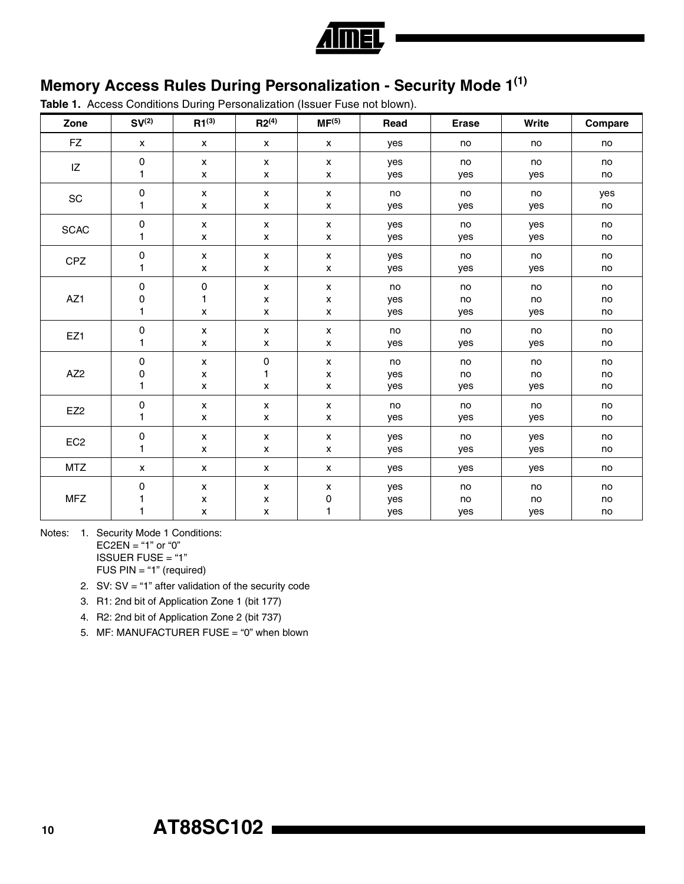

## **Memory Access Rules During Personalization - Security Mode 1(1)**

**Table 1.** Access Conditions During Personalization (Issuer Fuse not blown).

| Zone                         | SV <sup>(2)</sup>  | $R1^{(3)}$         | $R2^{(4)}$         | MF <sup>(5)</sup>  | Read | <b>Erase</b> | Write | Compare |
|------------------------------|--------------------|--------------------|--------------------|--------------------|------|--------------|-------|---------|
| <b>FZ</b>                    | $\pmb{\mathsf{X}}$ | $\pmb{\mathsf{X}}$ | $\pmb{\mathsf{x}}$ | $\mathsf{x}$       | yes  | no           | no    | no      |
| IZ                           | $\pmb{0}$          | $\pmb{\mathsf{x}}$ | $\pmb{\mathsf{x}}$ | $\pmb{\mathsf{x}}$ | yes  | no           | no    | no      |
|                              | 1                  | X                  | X                  | x                  | yes  | yes          | yes   | no      |
| $\operatorname{\textsf{SC}}$ | 0                  | $\pmb{\mathsf{x}}$ | $\pmb{\mathsf{x}}$ | $\pmb{\mathsf{X}}$ | no   | no           | no    | yes     |
|                              | 1                  | $\pmb{\mathsf{x}}$ | $\pmb{\mathsf{x}}$ | $\pmb{\mathsf{x}}$ | yes  | yes          | yes   | no      |
| <b>SCAC</b>                  | 0                  | $\pmb{\chi}$       | $\pmb{\mathsf{x}}$ | $\pmb{\mathsf{X}}$ | yes  | no           | yes   | no      |
|                              | 1                  | $\pmb{\mathsf{x}}$ | $\pmb{\mathsf{x}}$ | $\pmb{\mathsf{x}}$ | yes  | yes          | yes   | no      |
| CPZ                          | 0                  | $\pmb{\mathsf{x}}$ | $\pmb{\mathsf{x}}$ | $\pmb{\mathsf{x}}$ | yes  | no           | no    | no      |
|                              | 1                  | X                  | $\pmb{\mathsf{x}}$ | $\pmb{\mathsf{X}}$ | yes  | yes          | yes   | no      |
| AZ1                          | $\mathsf 0$        | $\mathbf 0$        | X                  | $\pmb{\mathsf{x}}$ | no   | no           | no    | no      |
|                              | $\pmb{0}$          | $\mathbf{1}$       | $\pmb{\mathsf{x}}$ | $\pmb{\mathsf{x}}$ | yes  | no           | no    | no      |
|                              | 1                  | $\pmb{\mathsf{x}}$ | $\pmb{\mathsf{x}}$ | $\pmb{\mathsf{x}}$ | yes  | yes          | yes   | no      |
| EZ1                          | $\mathsf 0$        | $\pmb{\mathsf{x}}$ | $\pmb{\mathsf{x}}$ | $\pmb{\mathsf{x}}$ | no   | no           | no    | no      |
|                              | $\mathbf{1}$       | $\pmb{\mathsf{x}}$ | $\pmb{\mathsf{x}}$ | $\pmb{\mathsf{x}}$ | yes  | yes          | yes   | no      |
| AZ <sub>2</sub>              | $\pmb{0}$          | $\pmb{\mathsf{x}}$ | 0                  | $\pmb{\mathsf{x}}$ | no   | no           | no    | no      |
|                              | 0                  | $\pmb{\mathsf{x}}$ | 1                  | x                  | yes  | no           | no    | no      |
|                              | 1                  | $\pmb{\mathsf{x}}$ | X                  | $\pmb{\mathsf{x}}$ | yes  | yes          | yes   | no      |
| EZ <sub>2</sub>              | 0                  | $\pmb{\mathsf{x}}$ | $\pmb{\mathsf{x}}$ | $\pmb{\mathsf{x}}$ | no   | no           | no    | no      |
|                              | 1                  | $\pmb{\mathsf{x}}$ | $\pmb{\mathsf{x}}$ | $\pmb{\mathsf{x}}$ | yes  | yes          | yes   | no      |
| EC <sub>2</sub>              | 0                  | X                  | X                  | X                  | yes  | no           | yes   | no      |
|                              | 1                  | $\pmb{\mathsf{x}}$ | $\pmb{\mathsf{x}}$ | $\pmb{\mathsf{x}}$ | yes  | yes          | yes   | no      |
| <b>MTZ</b>                   | X                  | X                  | X                  | X                  | yes  | yes          | yes   | no      |
| <b>MFZ</b>                   | 0                  | X                  | X                  | x                  | yes  | no           | no    | no      |
|                              | 1                  | $\pmb{\mathsf{X}}$ | $\pmb{\mathsf{x}}$ | 0                  | yes  | no           | no    | no      |
|                              | 1                  | $\pmb{\mathsf{x}}$ | $\pmb{\mathsf{x}}$ | 1                  | yes  | yes          | yes   | no      |

Notes: 1. Security Mode 1 Conditions:  $EC2EN = "1"$  or "0" ISSUER FUSE = "1"

FUS PIN = "1" (required)

2. SV: SV = "1" after validation of the security code

- 3. R1: 2nd bit of Application Zone 1 (bit 177)
- 4. R2: 2nd bit of Application Zone 2 (bit 737)
- 5. MF: MANUFACTURER FUSE = "0" when blown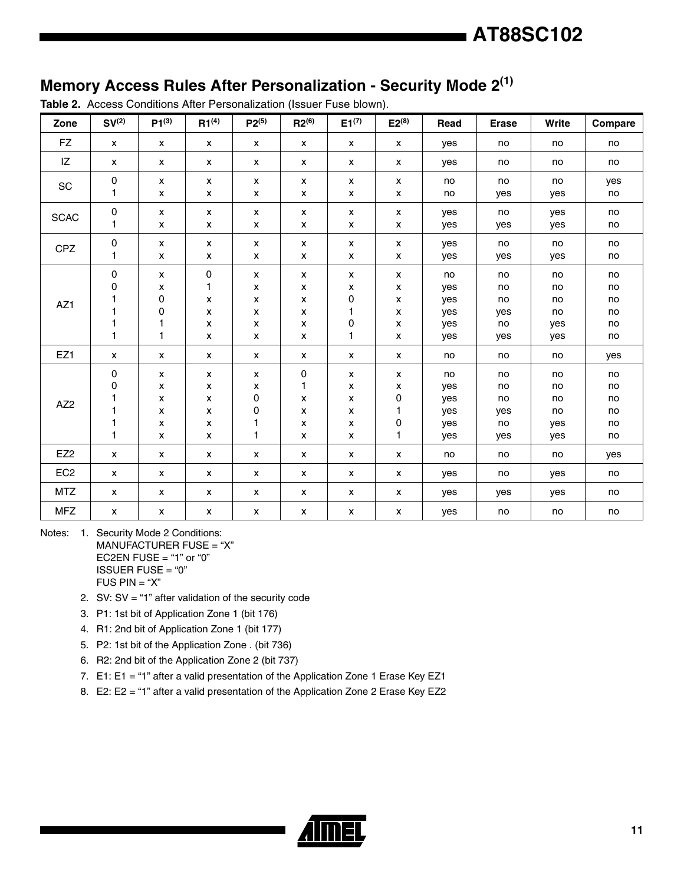no yes

yes yes

no yes

no no no no yes yes yes no

> no no

no no

no no no no no no

no no no no no no

### **Memory Access Rules After Personalization - Security Mode 2(1)**

**Zone SV(2) P1(3) R1(4) P2(5) R2(6) E1(7) E2(8) Read Erase Write Compare** FZ | x | x | x | x | x | x | x | yes | no | no | no IZ | x | x | x | x | x | x | x | yes | no | no | no  $SC \t 0$ 1 x x x x x x x x x x x x no no no yes  $SCAC$   $\begin{bmatrix} 0 \\ 0 \end{bmatrix}$ 1 x x x x x x x x x x x x yes yes no yes  $C PZ$  0 1 x x x x x x x x x x x x yes yes no yes

> x x x x x x

x x x x x x

no yes yes yes yes yes

no no no yes no yes

x x x x x x

**Table 2.** Access Conditions After Personalization (Issuer Fuse blown).

0 1 x x x x

EZ1  $\mid$  x  $\mid$  x  $\mid$  x  $\mid$  x  $\mid$  x  $\mid$  x  $\mid$  x  $\mid$  no  $\mid$  no  $\mid$  yes AZ2 0 0 1 1 1 1 x x x x x x x x x x x x x x 0 0 1 1 0 1 x x x x x x x x x x x x 0 1 0 1 no yes yes yes yes yes no no no yes no yes no no no no yes yes EZ2  $\mid$  x  $\mid$  x  $\mid$  x  $\mid$  x  $\mid$  x  $\mid$  x  $\mid$  x  $\mid$  no  $\mid$  no  $\mid$  yes  $\mathsf{EC2}$   $\mid$   $\mathsf{x}$   $\mid$   $\mathsf{x}$   $\mid$   $\mathsf{x}$   $\mid$   $\mathsf{x}$   $\mid$   $\mathsf{x}$   $\mid$   $\mathsf{x}$   $\mid$   $\mathsf{x}$   $\mid$   $\mathsf{y}$   $\mathsf{e}$   $\mid$   $\mathsf{y}$   $\mid$   $\mid$   $\mathsf{y}$   $\mathsf{e}$   $\mid$   $\mid$   $\mathsf{y}$   $\mid$   $\mid$   $\mathsf{y}$ MTZ | x | x | x | x | x | x | x | yes | yes | yes | no MFZ  $\mid$  x  $\mid$  x  $\mid$  x  $\mid$  x  $\mid$  x  $\mid$  x  $\mid$  x  $\mid$  yes  $\mid$  no  $\mid$  no  $\mid$  no

Notes: 1. Security Mode 2 Conditions: MANUFACTURER FUSE = "X" EC2EN FUSE  $=$  "1" or "0" ISSUER FUSE = "0"  $FUS PIN = "X"$ 

AZ1

x x  $\overline{O}$ 0 1 1

2. SV:  $SV = "1"$  after validation of the security code

3. P1: 1st bit of Application Zone 1 (bit 176)

4. R1: 2nd bit of Application Zone 1 (bit 177)

5. P2: 1st bit of the Application Zone . (bit 736)

6. R2: 2nd bit of the Application Zone 2 (bit 737)

7. E1: E1 = "1" after a valid presentation of the Application Zone 1 Erase Key EZ1

8. E2: E2 = "1" after a valid presentation of the Application Zone 2 Erase Key EZ2

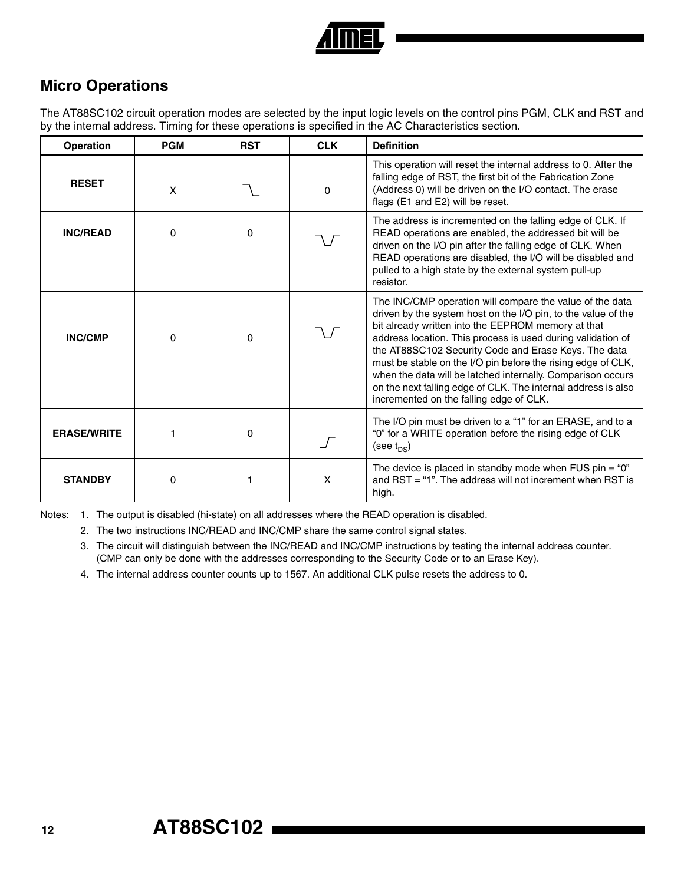

### **Micro Operations**

The AT88SC102 circuit operation modes are selected by the input logic levels on the control pins PGM, CLK and RST and by the internal address. Timing for these operations is specified in the AC Characteristics section.

| Operation          | <b>PGM</b> | <b>RST</b> | <b>CLK</b> | <b>Definition</b>                                                                                                                                                                                                                                                                                                                                                                                                                                                                                                                                 |
|--------------------|------------|------------|------------|---------------------------------------------------------------------------------------------------------------------------------------------------------------------------------------------------------------------------------------------------------------------------------------------------------------------------------------------------------------------------------------------------------------------------------------------------------------------------------------------------------------------------------------------------|
| <b>RESET</b>       | X          |            | $\Omega$   | This operation will reset the internal address to 0. After the<br>falling edge of RST, the first bit of the Fabrication Zone<br>(Address 0) will be driven on the I/O contact. The erase<br>flags (E1 and E2) will be reset.                                                                                                                                                                                                                                                                                                                      |
| <b>INC/READ</b>    | 0          | $\Omega$   |            | The address is incremented on the falling edge of CLK. If<br>READ operations are enabled, the addressed bit will be<br>driven on the I/O pin after the falling edge of CLK. When<br>READ operations are disabled, the I/O will be disabled and<br>pulled to a high state by the external system pull-up<br>resistor.                                                                                                                                                                                                                              |
| <b>INC/CMP</b>     | 0          | 0          |            | The INC/CMP operation will compare the value of the data<br>driven by the system host on the I/O pin, to the value of the<br>bit already written into the EEPROM memory at that<br>address location. This process is used during validation of<br>the AT88SC102 Security Code and Erase Keys. The data<br>must be stable on the I/O pin before the rising edge of CLK,<br>when the data will be latched internally. Comparison occurs<br>on the next falling edge of CLK. The internal address is also<br>incremented on the falling edge of CLK. |
| <b>ERASE/WRITE</b> |            | 0          |            | The I/O pin must be driven to a "1" for an ERASE, and to a<br>"0" for a WRITE operation before the rising edge of CLK<br>(see $t_{DS}$ )                                                                                                                                                                                                                                                                                                                                                                                                          |
| <b>STANDBY</b>     | 0          |            | X          | The device is placed in standby mode when FUS pin = " $0$ "<br>and $RST = "1"$ . The address will not increment when $RST$ is<br>high.                                                                                                                                                                                                                                                                                                                                                                                                            |

Notes: 1. The output is disabled (hi-state) on all addresses where the READ operation is disabled.

2. The two instructions INC/READ and INC/CMP share the same control signal states.

3. The circuit will distinguish between the INC/READ and INC/CMP instructions by testing the internal address counter. (CMP can only be done with the addresses corresponding to the Security Code or to an Erase Key).

4. The internal address counter counts up to 1567. An additional CLK pulse resets the address to 0.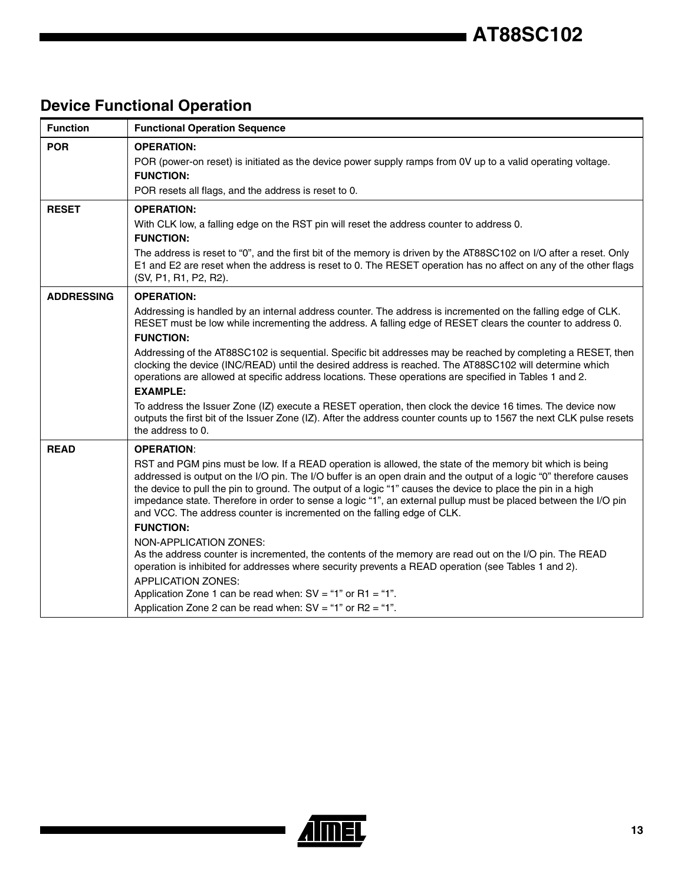## **Device Functional Operation**

| <b>Function</b>   | <b>Functional Operation Sequence</b>                                                                                                                                                                                                                                                                                                                                                                                                                                                                                                                                                                                                                                                                                                                                                                                                                                                                                                                                                             |
|-------------------|--------------------------------------------------------------------------------------------------------------------------------------------------------------------------------------------------------------------------------------------------------------------------------------------------------------------------------------------------------------------------------------------------------------------------------------------------------------------------------------------------------------------------------------------------------------------------------------------------------------------------------------------------------------------------------------------------------------------------------------------------------------------------------------------------------------------------------------------------------------------------------------------------------------------------------------------------------------------------------------------------|
| <b>POR</b>        | <b>OPERATION:</b><br>POR (power-on reset) is initiated as the device power supply ramps from 0V up to a valid operating voltage.<br><b>FUNCTION:</b><br>POR resets all flags, and the address is reset to 0.                                                                                                                                                                                                                                                                                                                                                                                                                                                                                                                                                                                                                                                                                                                                                                                     |
| <b>RESET</b>      | <b>OPERATION:</b><br>With CLK low, a falling edge on the RST pin will reset the address counter to address 0.<br><b>FUNCTION:</b><br>The address is reset to "0", and the first bit of the memory is driven by the AT88SC102 on I/O after a reset. Only<br>E1 and E2 are reset when the address is reset to 0. The RESET operation has no affect on any of the other flags<br>(SV, P1, R1, P2, R2).                                                                                                                                                                                                                                                                                                                                                                                                                                                                                                                                                                                              |
| <b>ADDRESSING</b> | <b>OPERATION:</b><br>Addressing is handled by an internal address counter. The address is incremented on the falling edge of CLK.<br>RESET must be low while incrementing the address. A falling edge of RESET clears the counter to address 0.<br><b>FUNCTION:</b><br>Addressing of the AT88SC102 is sequential. Specific bit addresses may be reached by completing a RESET, then<br>clocking the device (INC/READ) until the desired address is reached. The AT88SC102 will determine which<br>operations are allowed at specific address locations. These operations are specified in Tables 1 and 2.<br><b>EXAMPLE:</b><br>To address the Issuer Zone (IZ) execute a RESET operation, then clock the device 16 times. The device now<br>outputs the first bit of the Issuer Zone (IZ). After the address counter counts up to 1567 the next CLK pulse resets<br>the address to 0.                                                                                                           |
| <b>READ</b>       | <b>OPERATION:</b><br>RST and PGM pins must be low. If a READ operation is allowed, the state of the memory bit which is being<br>addressed is output on the I/O pin. The I/O buffer is an open drain and the output of a logic "0" therefore causes<br>the device to pull the pin to ground. The output of a logic "1" causes the device to place the pin in a high<br>impedance state. Therefore in order to sense a logic "1", an external pullup must be placed between the I/O pin<br>and VCC. The address counter is incremented on the falling edge of CLK.<br><b>FUNCTION:</b><br>NON-APPLICATION ZONES:<br>As the address counter is incremented, the contents of the memory are read out on the I/O pin. The READ<br>operation is inhibited for addresses where security prevents a READ operation (see Tables 1 and 2).<br><b>APPLICATION ZONES:</b><br>Application Zone 1 can be read when: $SV = "1"$ or $R1 = "1".$<br>Application Zone 2 can be read when: $SV = "1"$ or R2 = "1". |

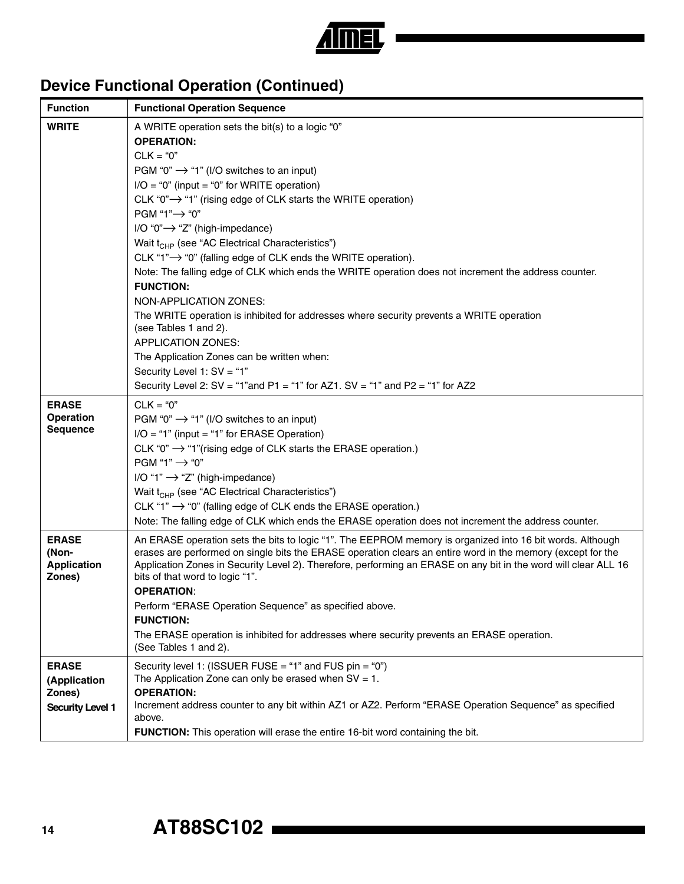

## **Device Functional Operation (Continued)**

| <b>Function</b>                                                   | <b>Functional Operation Sequence</b>                                                                                                                                                                                                                                                                                                                                                                                                                                                                                                                                                                                                                                                                                                                                                                                                                                                                                                                                 |
|-------------------------------------------------------------------|----------------------------------------------------------------------------------------------------------------------------------------------------------------------------------------------------------------------------------------------------------------------------------------------------------------------------------------------------------------------------------------------------------------------------------------------------------------------------------------------------------------------------------------------------------------------------------------------------------------------------------------------------------------------------------------------------------------------------------------------------------------------------------------------------------------------------------------------------------------------------------------------------------------------------------------------------------------------|
| <b>WRITE</b>                                                      | A WRITE operation sets the bit(s) to a logic "0"<br><b>OPERATION:</b><br>$CLK = "0"$<br>PGM "0" $\rightarrow$ "1" (I/O switches to an input)<br>$I/O = "0"$ (input = "0" for WRITE operation)<br>CLK "0" $\rightarrow$ "1" (rising edge of CLK starts the WRITE operation)<br>PGM "1"→ "0"<br>$I/O$ "0" $\rightarrow$ "Z" (high-impedance)<br>Wait t <sub>CHP</sub> (see "AC Electrical Characteristics")<br>CLK "1" $\rightarrow$ "0" (falling edge of CLK ends the WRITE operation).<br>Note: The falling edge of CLK which ends the WRITE operation does not increment the address counter.<br><b>FUNCTION:</b><br>NON-APPLICATION ZONES:<br>The WRITE operation is inhibited for addresses where security prevents a WRITE operation<br>(see Tables 1 and 2).<br><b>APPLICATION ZONES:</b><br>The Application Zones can be written when:<br>Security Level 1: SV = "1"<br>Security Level 2: $SV = "1"$ and $P1 = "1"$ for AZ1. $SV = "1"$ and $P2 = "1"$ for AZ2 |
| <b>ERASE</b><br><b>Operation</b><br><b>Sequence</b>               | $CLK = "0"$<br>PGM "0" $\rightarrow$ "1" (I/O switches to an input)<br>$I/O = "1"$ (input = "1" for ERASE Operation)<br>CLK "0" $\rightarrow$ "1"(rising edge of CLK starts the ERASE operation.)<br>PGM "1" $\rightarrow$ "0"<br>I/O "1" $\rightarrow$ "Z" (high-impedance)<br>Wait t <sub>CHP</sub> (see "AC Electrical Characteristics")<br>CLK "1" $\rightarrow$ "0" (falling edge of CLK ends the ERASE operation.)<br>Note: The falling edge of CLK which ends the ERASE operation does not increment the address counter.                                                                                                                                                                                                                                                                                                                                                                                                                                     |
| <b>ERASE</b><br>(Non-<br><b>Application</b><br>Zones)             | An ERASE operation sets the bits to logic "1". The EEPROM memory is organized into 16 bit words. Although<br>erases are performed on single bits the ERASE operation clears an entire word in the memory (except for the<br>Application Zones in Security Level 2). Therefore, performing an ERASE on any bit in the word will clear ALL 16<br>bits of that word to logic "1".<br><b>OPERATION:</b><br>Perform "ERASE Operation Sequence" as specified above.<br><b>FUNCTION:</b><br>The ERASE operation is inhibited for addresses where security prevents an ERASE operation.<br>(See Tables 1 and 2).                                                                                                                                                                                                                                                                                                                                                             |
| <b>ERASE</b><br>(Application<br>Zones)<br><b>Security Level 1</b> | Security level 1: (ISSUER FUSE = "1" and FUS pin = "0")<br>The Application Zone can only be erased when $SV = 1$ .<br><b>OPERATION:</b><br>Increment address counter to any bit within AZ1 or AZ2. Perform "ERASE Operation Sequence" as specified<br>above.<br>FUNCTION: This operation will erase the entire 16-bit word containing the bit.                                                                                                                                                                                                                                                                                                                                                                                                                                                                                                                                                                                                                       |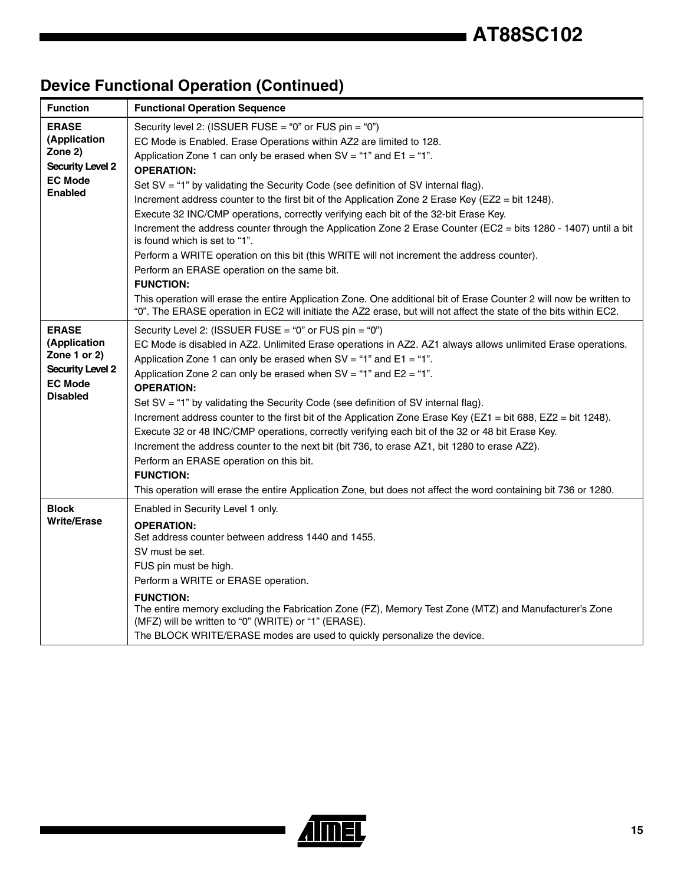## **Device Functional Operation (Continued)**

| <b>Function</b>                                                                                              | <b>Functional Operation Sequence</b>                                                                                                                                                                                                                                                                                                                                                                                                                                                                                                                                                                                                                                                                                                                                                                                                                                                                                                                                                                                                                                            |
|--------------------------------------------------------------------------------------------------------------|---------------------------------------------------------------------------------------------------------------------------------------------------------------------------------------------------------------------------------------------------------------------------------------------------------------------------------------------------------------------------------------------------------------------------------------------------------------------------------------------------------------------------------------------------------------------------------------------------------------------------------------------------------------------------------------------------------------------------------------------------------------------------------------------------------------------------------------------------------------------------------------------------------------------------------------------------------------------------------------------------------------------------------------------------------------------------------|
| <b>ERASE</b><br>(Application<br>Zone 2)<br><b>Security Level 2</b><br><b>EC Mode</b><br><b>Enabled</b>       | Security level 2: (ISSUER FUSE = "0" or FUS pin = "0")<br>EC Mode is Enabled. Erase Operations within AZ2 are limited to 128.<br>Application Zone 1 can only be erased when $SV = "1"$ and $E1 = "1".$<br><b>OPERATION:</b><br>Set SV = "1" by validating the Security Code (see definition of SV internal flag).<br>Increment address counter to the first bit of the Application Zone 2 Erase Key (EZ2 = bit 1248).<br>Execute 32 INC/CMP operations, correctly verifying each bit of the 32-bit Erase Key.<br>Increment the address counter through the Application Zone 2 Erase Counter (EC2 = bits 1280 - 1407) until a bit<br>is found which is set to "1".<br>Perform a WRITE operation on this bit (this WRITE will not increment the address counter).<br>Perform an ERASE operation on the same bit.<br><b>FUNCTION:</b><br>This operation will erase the entire Application Zone. One additional bit of Erase Counter 2 will now be written to<br>"0". The ERASE operation in EC2 will initiate the AZ2 erase, but will not affect the state of the bits within EC2. |
| <b>ERASE</b><br>(Application<br>Zone 1 or 2)<br><b>Security Level 2</b><br><b>EC Mode</b><br><b>Disabled</b> | Security Level 2: (ISSUER FUSE = "0" or FUS pin = "0")<br>EC Mode is disabled in AZ2. Unlimited Erase operations in AZ2. AZ1 always allows unlimited Erase operations.<br>Application Zone 1 can only be erased when $SV = "1"$ and $E1 = "1".$<br>Application Zone 2 can only be erased when $SV = "1"$ and $E2 = "1".$<br><b>OPERATION:</b><br>Set SV = "1" by validating the Security Code (see definition of SV internal flag).<br>Increment address counter to the first bit of the Application Zone Erase Key (EZ1 = bit 688, EZ2 = bit 1248).<br>Execute 32 or 48 INC/CMP operations, correctly verifying each bit of the 32 or 48 bit Erase Key.<br>Increment the address counter to the next bit (bit 736, to erase AZ1, bit 1280 to erase AZ2).<br>Perform an ERASE operation on this bit.<br><b>FUNCTION:</b><br>This operation will erase the entire Application Zone, but does not affect the word containing bit 736 or 1280.                                                                                                                                     |
| <b>Block</b><br><b>Write/Erase</b>                                                                           | Enabled in Security Level 1 only.<br><b>OPERATION:</b><br>Set address counter between address 1440 and 1455.<br>SV must be set.<br>FUS pin must be high.<br>Perform a WRITE or ERASE operation.<br><b>FUNCTION:</b><br>The entire memory excluding the Fabrication Zone (FZ), Memory Test Zone (MTZ) and Manufacturer's Zone<br>(MFZ) will be written to "0" (WRITE) or "1" (ERASE).<br>The BLOCK WRITE/ERASE modes are used to quickly personalize the device.                                                                                                                                                                                                                                                                                                                                                                                                                                                                                                                                                                                                                 |

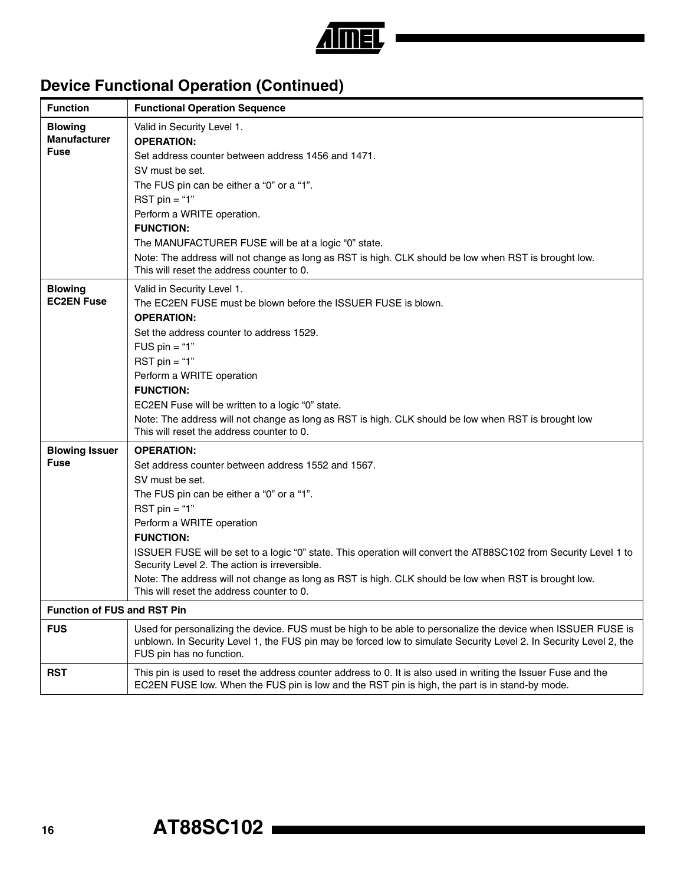

## **Device Functional Operation (Continued)**

| <b>Function</b>                                                            | <b>Functional Operation Sequence</b>                                                                                                                                                                                                                                                                                                                                                                                                                                                                                                  |
|----------------------------------------------------------------------------|---------------------------------------------------------------------------------------------------------------------------------------------------------------------------------------------------------------------------------------------------------------------------------------------------------------------------------------------------------------------------------------------------------------------------------------------------------------------------------------------------------------------------------------|
| <b>Blowing</b><br><b>Manufacturer</b><br><b>Fuse</b>                       | Valid in Security Level 1.<br><b>OPERATION:</b><br>Set address counter between address 1456 and 1471.<br>SV must be set.<br>The FUS pin can be either a "0" or a "1".<br>RST $pin = "1"$<br>Perform a WRITE operation.<br><b>FUNCTION:</b><br>The MANUFACTURER FUSE will be at a logic "0" state.<br>Note: The address will not change as long as RST is high. CLK should be low when RST is brought low.<br>This will reset the address counter to 0.                                                                                |
| <b>Blowing</b><br><b>EC2EN Fuse</b>                                        | Valid in Security Level 1.<br>The EC2EN FUSE must be blown before the ISSUER FUSE is blown.<br><b>OPERATION:</b><br>Set the address counter to address 1529.<br>FUS $pin = "1"$<br>RST $pin = "1"$<br>Perform a WRITE operation<br><b>FUNCTION:</b><br>EC2EN Fuse will be written to a logic "0" state.<br>Note: The address will not change as long as RST is high. CLK should be low when RST is brought low<br>This will reset the address counter to 0.                                                                           |
| <b>Blowing Issuer</b><br><b>Fuse</b><br><b>Function of FUS and RST Pin</b> | <b>OPERATION:</b><br>Set address counter between address 1552 and 1567.<br>SV must be set.<br>The FUS pin can be either a "0" or a "1".<br>RST $pin = "1"$<br>Perform a WRITE operation<br><b>FUNCTION:</b><br>ISSUER FUSE will be set to a logic "0" state. This operation will convert the AT88SC102 from Security Level 1 to<br>Security Level 2. The action is irreversible.<br>Note: The address will not change as long as RST is high. CLK should be low when RST is brought low.<br>This will reset the address counter to 0. |
| <b>FUS</b>                                                                 | Used for personalizing the device. FUS must be high to be able to personalize the device when ISSUER FUSE is<br>unblown. In Security Level 1, the FUS pin may be forced low to simulate Security Level 2. In Security Level 2, the<br>FUS pin has no function.                                                                                                                                                                                                                                                                        |
| <b>RST</b>                                                                 | This pin is used to reset the address counter address to 0. It is also used in writing the Issuer Fuse and the<br>EC2EN FUSE low. When the FUS pin is low and the RST pin is high, the part is in stand-by mode.                                                                                                                                                                                                                                                                                                                      |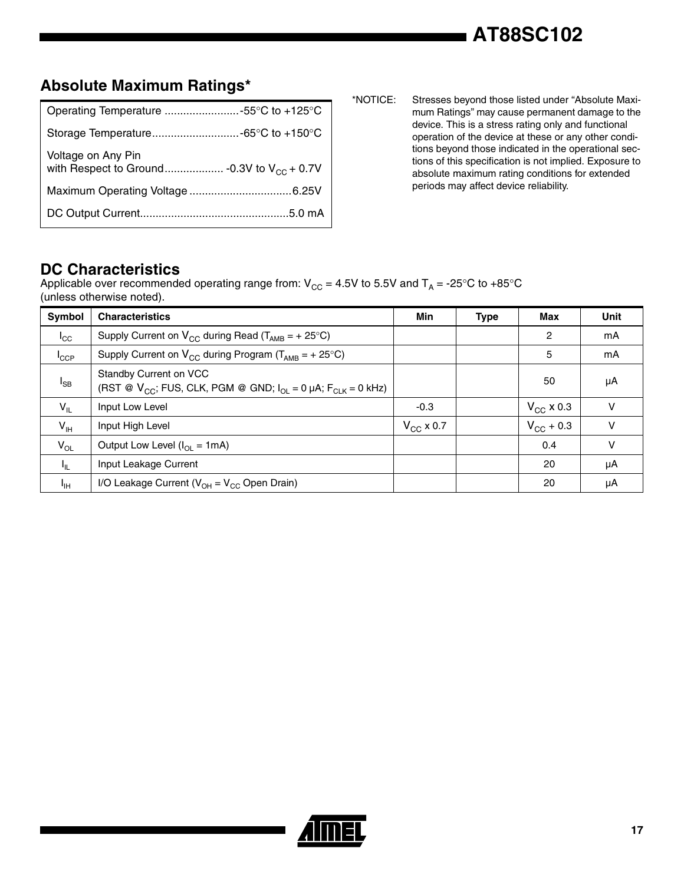### **Absolute Maximum Ratings\***

| Operating Temperature 55°C to +125°C |
|--------------------------------------|
|                                      |
| Voltage on Any Pin                   |
|                                      |
|                                      |

\*NOTICE: Stresses beyond those listed under "Absolute Maximum Ratings" may cause permanent damage to the device. This is a stress rating only and functional operation of the device at these or any other conditions beyond those indicated in the operational sections of this specification is not implied. Exposure to absolute maximum rating conditions for extended periods may affect device reliability.

#### **DC Characteristics**

Applicable over recommended operating range from:  $V_{CC} = 4.5V$  to 5.5V and  $T_A = -25^{\circ}C$  to  $+85^{\circ}C$ (unless otherwise noted).

| <b>Symbol</b>    | <b>Characteristics</b>                                                                               | Min            | <b>Type</b> | Max            | <b>Unit</b> |
|------------------|------------------------------------------------------------------------------------------------------|----------------|-------------|----------------|-------------|
| $I_{\rm CC}$     | Supply Current on $V_{CC}$ during Read ( $T_{AMB}$ = + 25°C)                                         |                |             | 2              | mA          |
| $I_{\text{CCP}}$ | Supply Current on $V_{CC}$ during Program ( $T_{AMB} = +25^{\circ}C$ )                               |                |             | 5              | mA          |
| $I_{SB}$         | Standby Current on VCC<br>(RST @ $V_{CC}$ ; FUS, CLK, PGM @ GND; $I_{OL} = 0$ µA; $F_{CLK} = 0$ kHz) |                |             | 50             | μA          |
| $V_{IL}$         | Input Low Level                                                                                      | $-0.3$         |             | $V_{CC}$ x 0.3 | v           |
| $V_{\text{IH}}$  | Input High Level                                                                                     | $V_{CC}$ x 0.7 |             | $V_{CC}$ + 0.3 | $\vee$      |
| $V_{OL}$         | Output Low Level $(I_{OI} = 1mA)$                                                                    |                |             | 0.4            | V           |
| $I_{\rm IL}$     | Input Leakage Current                                                                                |                |             | 20             | μA          |
| ŀщ               | I/O Leakage Current ( $V_{OH} = V_{CC}$ Open Drain)                                                  |                |             | 20             | μA          |

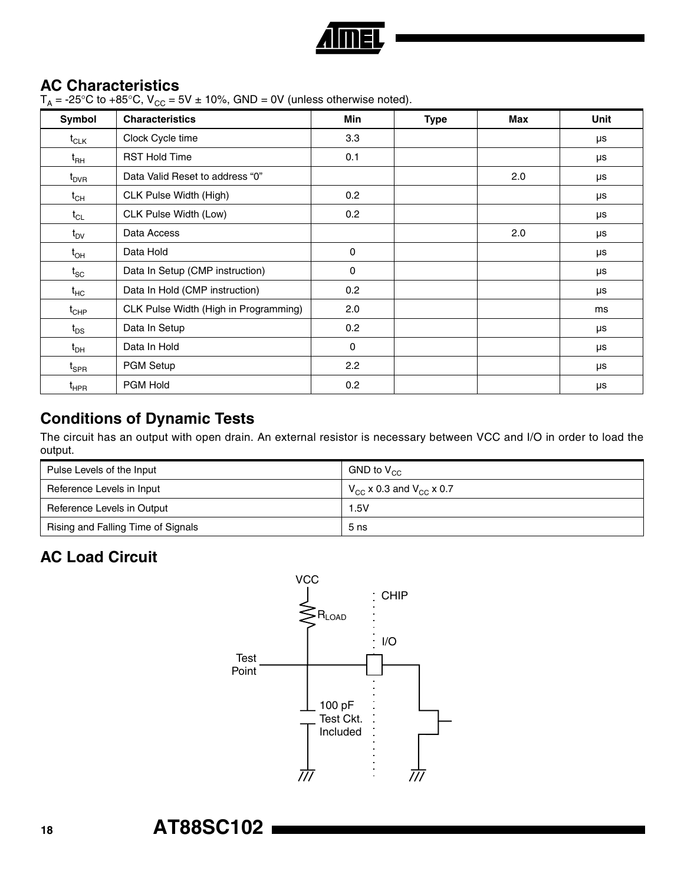

### **AC Characteristics**

 $T_A$  = -25°C to +85°C,  $V_{CC}$  = 5V  $\pm$  10%, GND = 0V (unless otherwise noted).

| Symbol                        | <b>Characteristics</b>                | Min         | <b>Type</b> | Max | Unit |
|-------------------------------|---------------------------------------|-------------|-------------|-----|------|
| $t_{CLK}$                     | Clock Cycle time                      | 3.3         |             |     | μs   |
| $\mathfrak{t}_{\mathsf{RH}}$  | <b>RST Hold Time</b>                  | 0.1         |             |     | μs   |
| $t_{\sf DVR}$                 | Data Valid Reset to address "0"       |             |             | 2.0 | μs   |
| $t_{\textsf{CH}}$             | CLK Pulse Width (High)                | 0.2         |             |     | μs   |
| $t_{CL}$                      | CLK Pulse Width (Low)                 | 0.2         |             |     | μs   |
| $t_{\text{DV}}$               | Data Access                           |             |             | 2.0 | μs   |
| $t_{\text{OH}}$               | Data Hold                             | 0           |             |     | μs   |
| $t_{SC}$                      | Data In Setup (CMP instruction)       | $\mathbf 0$ |             |     | μs   |
| $t_{HC}$                      | Data In Hold (CMP instruction)        | 0.2         |             |     | μs   |
| $\mathfrak{t}_{\text{CHP}}$   | CLK Pulse Width (High in Programming) | 2.0         |             |     | ms   |
| $t_{DS}$                      | Data In Setup                         | 0.2         |             |     | μs   |
| $t_{DH}$                      | Data In Hold                          | $\mathbf 0$ |             |     | μs   |
| $\mathfrak{t}_{\texttt{SPR}}$ | PGM Setup                             | 2.2         |             |     | μs   |
| $t_{HPR}$                     | PGM Hold                              | 0.2         |             |     | μs   |

### **Conditions of Dynamic Tests**

The circuit has an output with open drain. An external resistor is necessary between VCC and I/O in order to load the output.

| Pulse Levels of the Input          | GND to $V_{cc}$                           |  |
|------------------------------------|-------------------------------------------|--|
| Reference Levels in Input          | $V_{\rm cc}$ x 0.3 and $V_{\rm cc}$ x 0.7 |  |
| Reference Levels in Output         | 1.5V                                      |  |
| Rising and Falling Time of Signals | 5 <sub>ns</sub>                           |  |

## **AC Load Circuit**

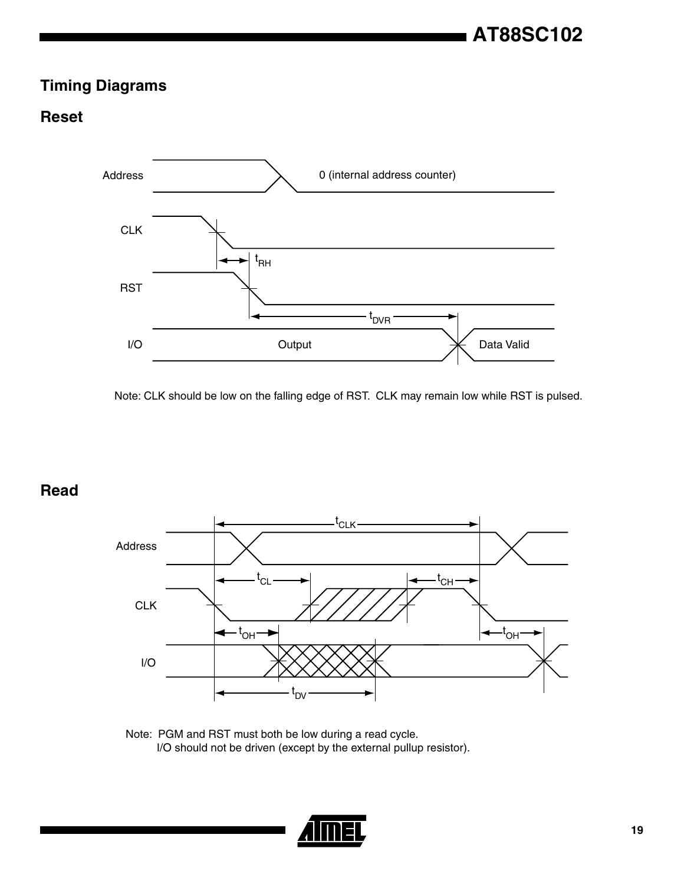## **Timing Diagrams**

### **Reset**



Note: CLK should be low on the falling edge of RST. CLK may remain low while RST is pulsed.

**Read**



Note: PGM and RST must both be low during a read cycle. I/O should not be driven (except by the external pullup resistor).

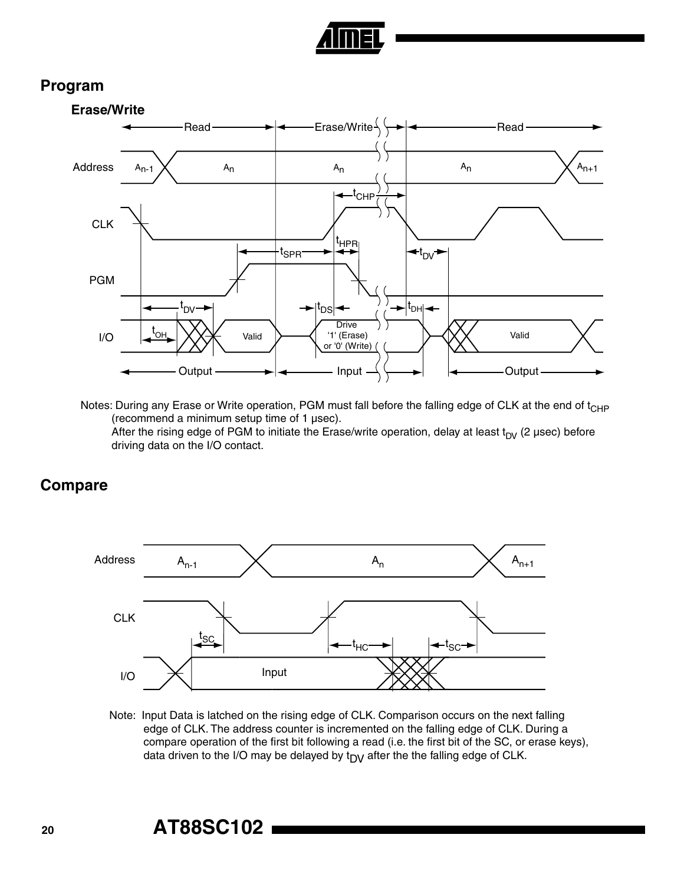

#### **Program**



Notes: During any Erase or Write operation, PGM must fall before the falling edge of CLK at the end of t<sub>CHP</sub> (recommend a minimum setup time of 1 µsec). After the rising edge of PGM to initiate the Erase/write operation, delay at least  $t_{DV}$  (2 µsec) before driving data on the I/O contact.

**Compare**



 Note: Input Data is latched on the rising edge of CLK. Comparison occurs on the next falling edge of CLK. The address counter is incremented on the falling edge of CLK. During a compare operation of the first bit following a read (i.e. the first bit of the SC, or erase keys), data driven to the I/O may be delayed by  $t_{DY}$  after the the falling edge of CLK.

## **<sup>20</sup> AT88SC102**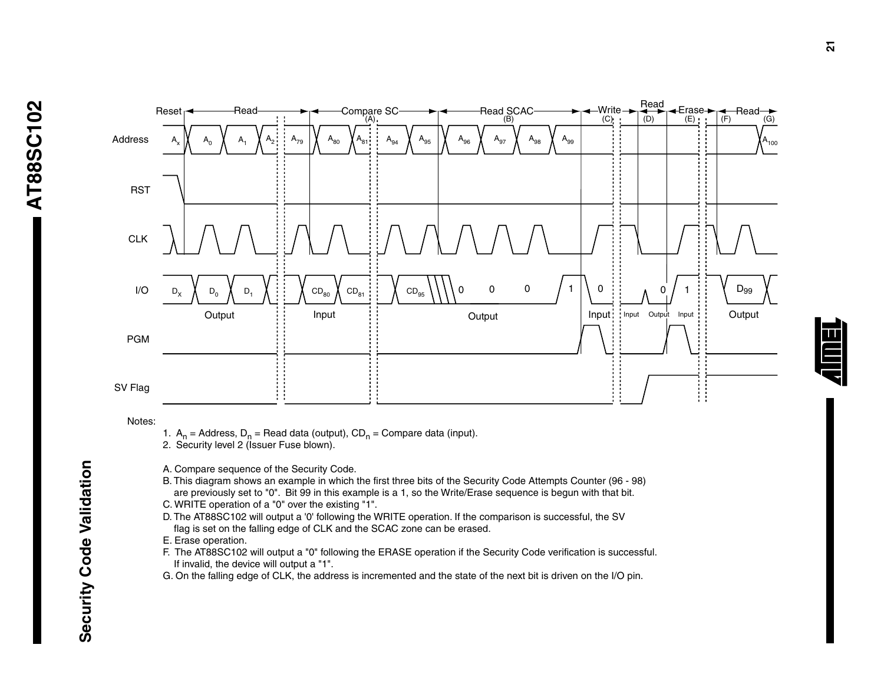

Notes:

- 1.  $A_n$  = Address,  $D_n$  = Read data (output),  $CD_n$  = Compare data (input).
- 2. Security level 2 (Issuer Fuse blown).
- A. Compare sequence of the Security Code.
- B. This diagram shows an example in which the first three bits of the Security Code Attempts Counter (96 98) are previously set to "0". Bit 99 in this example is a 1, so the Write/Erase sequence is begun with that bit.
- C. WRITE operation of a "0" over the existing "1".
- D. The AT88SC102 will output a '0' following the WRITE operation. If the comparison is successful, the SV flag is set on the falling edge of CLK and the SCAC zone can be erased.
- E. Erase operation.
- F. The AT88SC102 will output a "0" following the ERASE operation if the Security Code verification is successful. If invalid, the device will output a "1".
- G. On the falling edge of CLK, the address is incremented and the state of the next bit is driven on the I/O pin.

**Security Code Validation**

Security Code Validation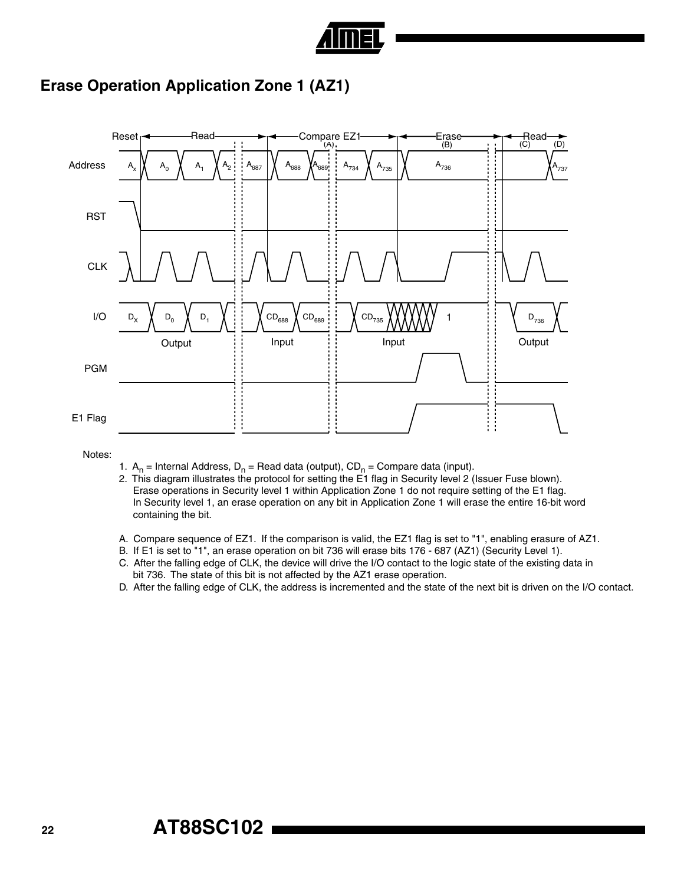

### **Erase Operation Application Zone 1 (AZ1)**



Notes:

- 1.  $A_n$  = Internal Address, D<sub>n</sub> = Read data (output), CD<sub>n</sub> = Compare data (input).
- 2. This diagram illustrates the protocol for setting the E1 flag in Security level 2 (Issuer Fuse blown). Erase operations in Security level 1 within Application Zone 1 do not require setting of the E1 flag. In Security level 1, an erase operation on any bit in Application Zone 1 will erase the entire 16-bit word containing the bit.
- A. Compare sequence of EZ1. If the comparison is valid, the EZ1 flag is set to "1", enabling erasure of AZ1.
- B. If E1 is set to "1", an erase operation on bit 736 will erase bits 176 687 (AZ1) (Security Level 1).
- C. After the falling edge of CLK, the device will drive the I/O contact to the logic state of the existing data in bit 736. The state of this bit is not affected by the AZ1 erase operation.
- D. After the falling edge of CLK, the address is incremented and the state of the next bit is driven on the I/O contact.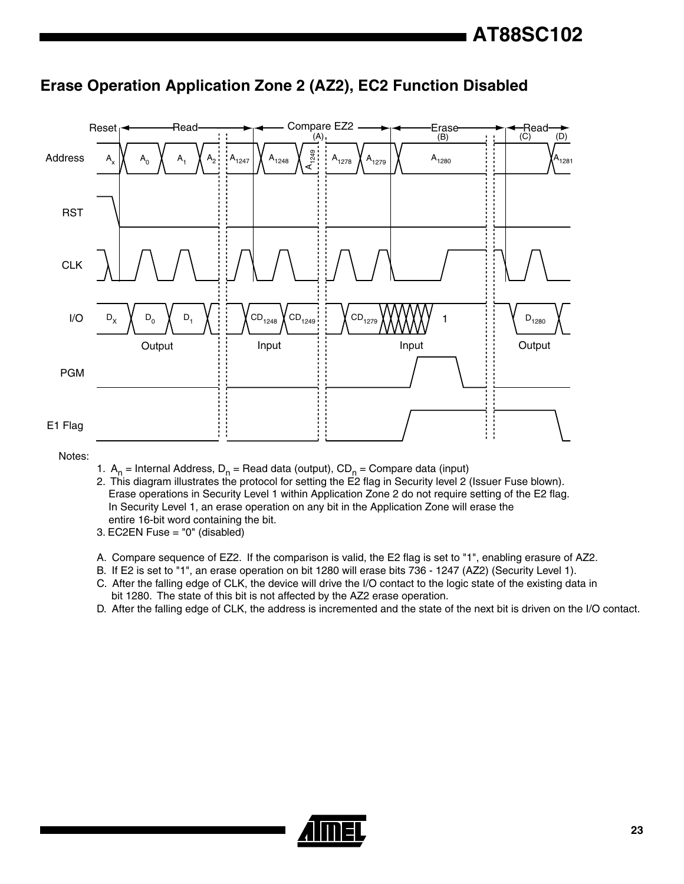

#### **Erase Operation Application Zone 2 (AZ2), EC2 Function Disabled**

Notes:

- 1.  $A_n$  = Internal Address, D<sub>n</sub> = Read data (output), CD<sub>n</sub> = Compare data (input)
- 2. This diagram illustrates the protocol for setting the E2 flag in Security level 2 (Issuer Fuse blown). Erase operations in Security Level 1 within Application Zone 2 do not require setting of the E2 flag. In Security Level 1, an erase operation on any bit in the Application Zone will erase the entire 16-bit word containing the bit.
- 3. EC2EN Fuse = "0" (disabled)
- A. Compare sequence of EZ2. If the comparison is valid, the E2 flag is set to "1", enabling erasure of AZ2.
- B. If E2 is set to "1", an erase operation on bit 1280 will erase bits 736 1247 (AZ2) (Security Level 1).
- C. After the falling edge of CLK, the device will drive the I/O contact to the logic state of the existing data in bit 1280. The state of this bit is not affected by the AZ2 erase operation.
- D. After the falling edge of CLK, the address is incremented and the state of the next bit is driven on the I/O contact.

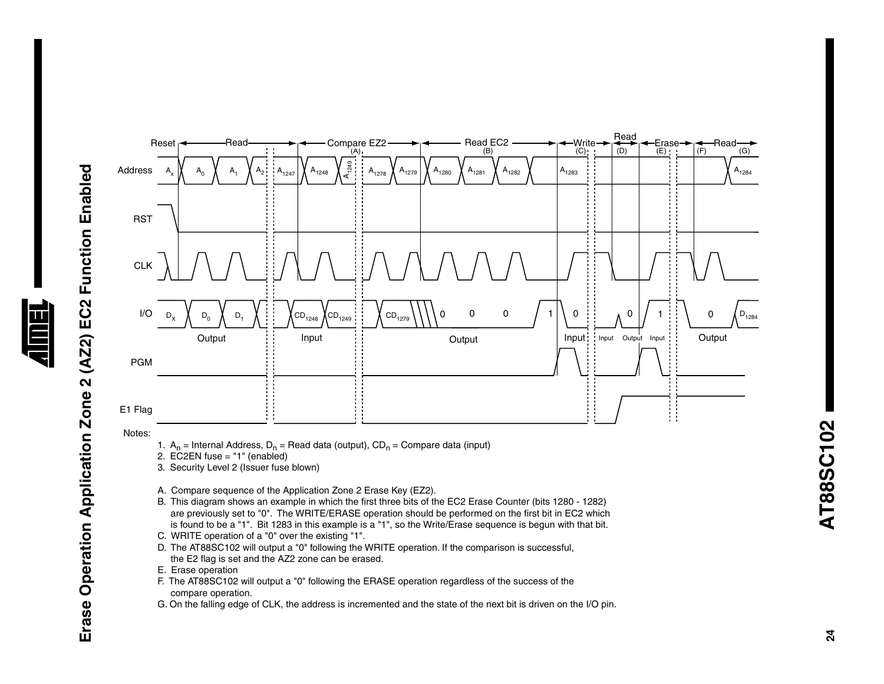

Notes:

1.  $A_n$  = Internal Address,  $D_n$  = Read data (output),  $CD_n$  = Compare data (input)

2. EC2EN fuse = "1" (enabled)

- 3. Security Level 2 (Issuer fuse blown)
- A. Compare sequence of the Application Zone 2 Erase Key (EZ2).
- B. This diagram shows an example in which the first three bits of the EC2 Erase Counter (bits 1280 1282) are previously set to "0". The WRITE/ERASE operation should be performed on the first bit in EC2 which is found to be a "1". Bit 1283 in this example is a "1", so the Write/Erase sequence is begun with that bit.
- C. WRITE operation of a "0" over the existing "1".
- D. The AT88SC102 will output a "0" following the WRITE operation. If the comparison is successful, the E2 flag is set and the AZ2 zone can be erased.
- E. Erase operation
- F. The AT88SC102 will output a "0" following the ERASE operation regardless of the success of the compare operation.
- G. On the falling edge of CLK, the address is incremented and the state of the next bit is driven on the I/O pin.

AT88SC102 **AT88SC102**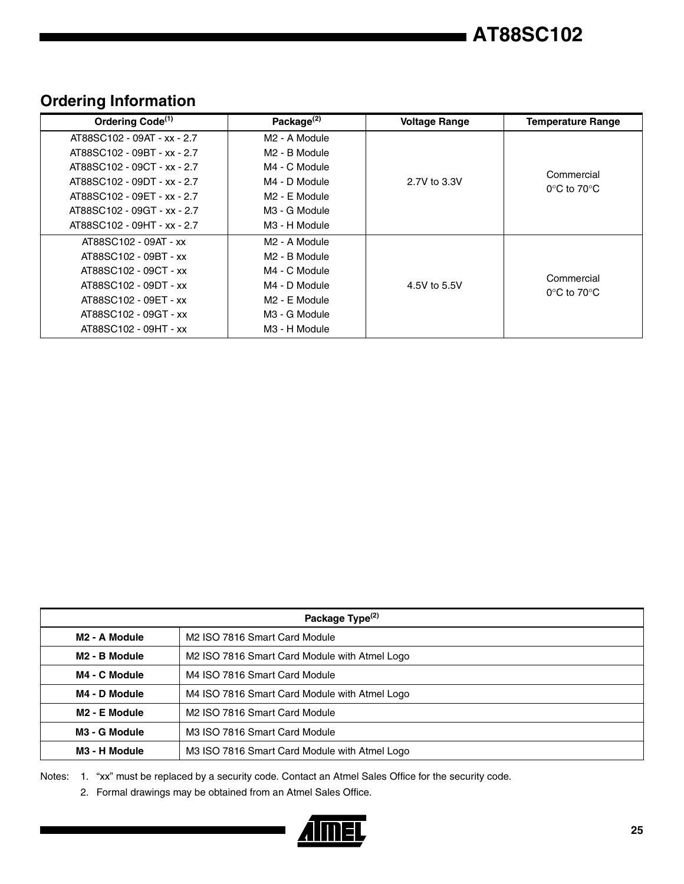## **AT88SC102**

| Ordering Code <sup>(1)</sup> | Package <sup>(2)</sup>        | <b>Voltage Range</b> | <b>Temperature Range</b>         |
|------------------------------|-------------------------------|----------------------|----------------------------------|
| AT88SC102 - 09AT - xx - 2.7  | M <sub>2</sub> - A Module     |                      |                                  |
| AT88SC102 - 09BT - xx - 2.7  | M <sub>2</sub> - B Module     |                      |                                  |
| AT88SC102 - 09CT - xx - 2.7  | M4 - C Module                 |                      | Commercial                       |
| AT88SC102 - 09DT - xx - 2.7  | 2.7V to 3.3V<br>M4 - D Module |                      | $0^{\circ}$ C to 70 $^{\circ}$ C |
| AT88SC102 - 09ET - xx - 2.7  | M <sub>2</sub> - E Module     |                      |                                  |
| AT88SC102 - 09GT - xx - 2.7  | M <sub>3</sub> - G Module     |                      |                                  |
| AT88SC102 - 09HT - xx - 2.7  | M <sub>3</sub> - H Module     |                      |                                  |
| AT88SC102 - 09AT - xx        | M <sub>2</sub> - A Module     |                      |                                  |
| AT88SC102 - 09BT - xx        | M <sub>2</sub> - B Module     |                      |                                  |
| AT88SC102 - 09CT - xx        | M4 - C Module                 |                      | Commercial                       |
| AT88SC102 - 09DT - xx        | M4 - D Module                 | 4.5V to 5.5V         | $0^{\circ}$ C to 70 $^{\circ}$ C |
| AT88SC102 - 09ET - xx        | M <sub>2</sub> - E Module     |                      |                                  |
| AT88SC102 - 09GT - xx        | M <sub>3</sub> - G Module     |                      |                                  |
| AT88SC102 - 09HT - xx        | M <sub>3</sub> - H Module     |                      |                                  |

### **Ordering Information**

| Package Type <sup>(2)</sup> |                                               |  |
|-----------------------------|-----------------------------------------------|--|
| M <sub>2</sub> - A Module   | M2 ISO 7816 Smart Card Module                 |  |
| M <sub>2</sub> - B Module   | M2 ISO 7816 Smart Card Module with Atmel Logo |  |
| M4 - C Module               | M4 ISO 7816 Smart Card Module                 |  |
| M4 - D Module               | M4 ISO 7816 Smart Card Module with Atmel Logo |  |
| M <sub>2</sub> - E Module   | M2 ISO 7816 Smart Card Module                 |  |
| M <sub>3</sub> - G Module   | M3 ISO 7816 Smart Card Module                 |  |
| M3 - H Module               | M3 ISO 7816 Smart Card Module with Atmel Logo |  |

Notes: 1. "xx" must be replaced by a security code. Contact an Atmel Sales Office for the security code.

2. Formal drawings may be obtained from an Atmel Sales Office.

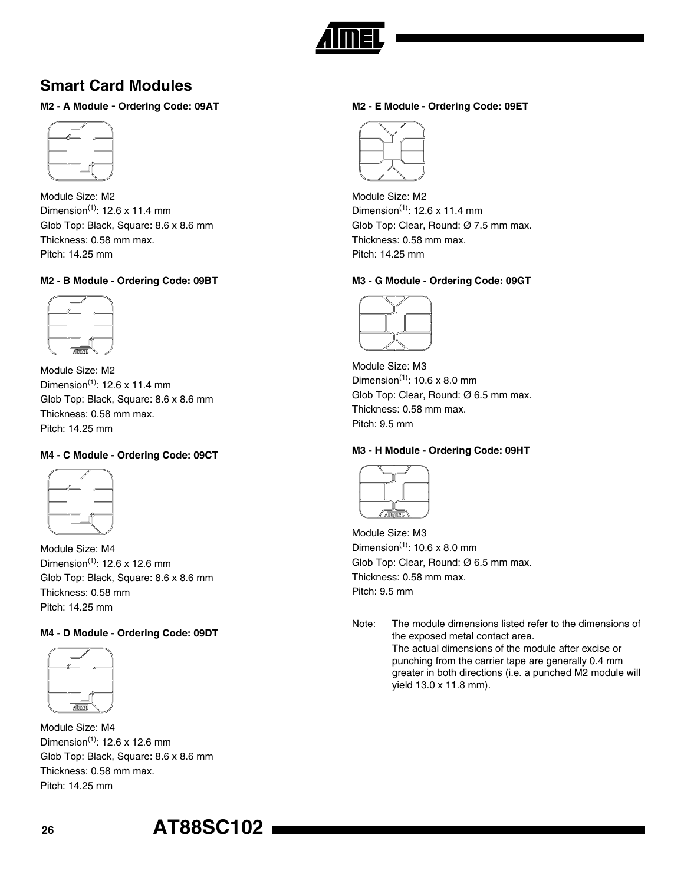

### **Smart Card Modules**

#### **M2 - A Module - Ordering Code: 09AT**



Module Size: M2 Dimension<sup>(1)</sup>: 12.6 x 11.4 mm Glob Top: Black, Square: 8.6 x 8.6 mm Thickness: 0.58 mm max. Pitch: 14.25 mm

#### **M2 - B Module - Ordering Code: 09BT**



Module Size: M2 Dimension<sup>(1)</sup>: 12.6 x 11.4 mm Glob Top: Black, Square: 8.6 x 8.6 mm Thickness: 0.58 mm max. Pitch: 14.25 mm

#### **M4 - C Module - Ordering Code: 09CT**



Module Size: M4 Dimension<sup>(1)</sup>: 12.6 x 12.6 mm Glob Top: Black, Square: 8.6 x 8.6 mm Thickness: 0.58 mm Pitch: 14.25 mm

#### **M4 - D Module - Ordering Code: 09DT**



Module Size: M4 Dimension<sup>(1)</sup>: 12.6 x 12.6 mm Glob Top: Black, Square: 8.6 x 8.6 mm Thickness: 0.58 mm max. Pitch: 14.25 mm

#### **M2 - E Module - Ordering Code: 09ET**



Module Size: M2 Dimension<sup>(1)</sup>:  $12.6 \times 11.4 \text{ mm}$ Glob Top: Clear, Round: Ø 7.5 mm max. Thickness: 0.58 mm max. Pitch: 14.25 mm

#### **M3 - G Module - Ordering Code: 09GT**



Module Size: M3 Dimension $<sup>(1)</sup>$ : 10.6 x 8.0 mm</sup> Glob Top: Clear, Round: Ø 6.5 mm max. Thickness: 0.58 mm max. Pitch: 9.5 mm

#### **M3 - H Module - Ordering Code: 09HT**



Module Size: M3 Dimension $<sup>(1)</sup>$ : 10.6 x 8.0 mm</sup> Glob Top: Clear, Round: Ø 6.5 mm max. Thickness: 0.58 mm max. Pitch: 9.5 mm

Note: The module dimensions listed refer to the dimensions of the exposed metal contact area. The actual dimensions of the module after excise or punching from the carrier tape are generally 0.4 mm greater in both directions (i.e. a punched M2 module will yield 13.0 x 11.8 mm).

**<sup>26</sup> AT88SC102**